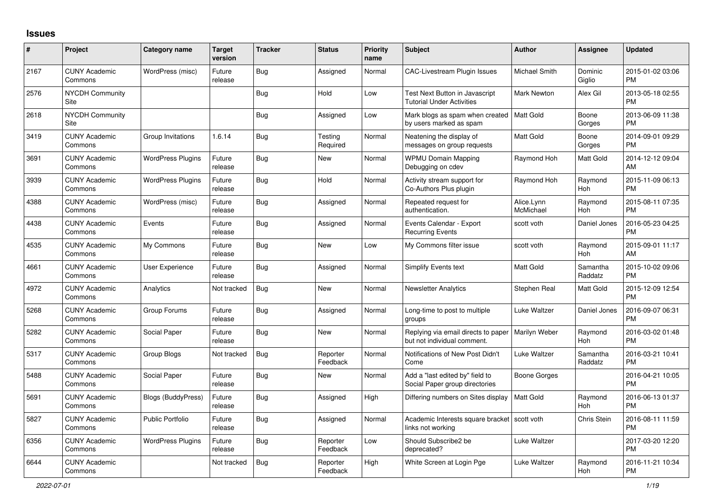## **Issues**

| #    | Project                         | <b>Category name</b>      | <b>Target</b><br>version | <b>Tracker</b> | <b>Status</b>        | <b>Priority</b><br>name | <b>Subject</b>                                                      | <b>Author</b>           | Assignee            | <b>Updated</b>                |
|------|---------------------------------|---------------------------|--------------------------|----------------|----------------------|-------------------------|---------------------------------------------------------------------|-------------------------|---------------------|-------------------------------|
| 2167 | <b>CUNY Academic</b><br>Commons | WordPress (misc)          | Future<br>release        | Bug            | Assigned             | Normal                  | <b>CAC-Livestream Plugin Issues</b>                                 | Michael Smith           | Dominic<br>Giglio   | 2015-01-02 03:06<br><b>PM</b> |
| 2576 | <b>NYCDH Community</b><br>Site  |                           |                          | <b>Bug</b>     | Hold                 | Low                     | Test Next Button in Javascript<br><b>Tutorial Under Activities</b>  | Mark Newton             | Alex Gil            | 2013-05-18 02:55<br><b>PM</b> |
| 2618 | <b>NYCDH Community</b><br>Site  |                           |                          | <b>Bug</b>     | Assigned             | Low                     | Mark blogs as spam when created<br>by users marked as spam          | Matt Gold               | Boone<br>Gorges     | 2013-06-09 11:38<br><b>PM</b> |
| 3419 | <b>CUNY Academic</b><br>Commons | Group Invitations         | 1.6.14                   | <b>Bug</b>     | Testing<br>Required  | Normal                  | Neatening the display of<br>messages on group requests              | Matt Gold               | Boone<br>Gorges     | 2014-09-01 09:29<br><b>PM</b> |
| 3691 | <b>CUNY Academic</b><br>Commons | <b>WordPress Plugins</b>  | Future<br>release        | Bug            | New                  | Normal                  | <b>WPMU Domain Mapping</b><br>Debugging on cdev                     | Raymond Hoh             | Matt Gold           | 2014-12-12 09:04<br>AM        |
| 3939 | <b>CUNY Academic</b><br>Commons | <b>WordPress Plugins</b>  | Future<br>release        | Bug            | Hold                 | Normal                  | Activity stream support for<br>Co-Authors Plus plugin               | Raymond Hoh             | Raymond<br>Hoh      | 2015-11-09 06:13<br><b>PM</b> |
| 4388 | <b>CUNY Academic</b><br>Commons | WordPress (misc)          | Future<br>release        | Bug            | Assigned             | Normal                  | Repeated request for<br>authentication.                             | Alice.Lynn<br>McMichael | Raymond<br>Hoh      | 2015-08-11 07:35<br><b>PM</b> |
| 4438 | <b>CUNY Academic</b><br>Commons | Events                    | Future<br>release        | Bug            | Assigned             | Normal                  | Events Calendar - Export<br><b>Recurring Events</b>                 | scott voth              | Daniel Jones        | 2016-05-23 04:25<br><b>PM</b> |
| 4535 | <b>CUNY Academic</b><br>Commons | My Commons                | Future<br>release        | <b>Bug</b>     | <b>New</b>           | Low                     | My Commons filter issue                                             | scott voth              | Raymond<br>Hoh      | 2015-09-01 11:17<br>AM        |
| 4661 | <b>CUNY Academic</b><br>Commons | <b>User Experience</b>    | Future<br>release        | Bug            | Assigned             | Normal                  | <b>Simplify Events text</b>                                         | <b>Matt Gold</b>        | Samantha<br>Raddatz | 2015-10-02 09:06<br><b>PM</b> |
| 4972 | <b>CUNY Academic</b><br>Commons | Analytics                 | Not tracked              | Bug            | <b>New</b>           | Normal                  | <b>Newsletter Analytics</b>                                         | Stephen Real            | Matt Gold           | 2015-12-09 12:54<br><b>PM</b> |
| 5268 | <b>CUNY Academic</b><br>Commons | Group Forums              | Future<br>release        | <b>Bug</b>     | Assigned             | Normal                  | Long-time to post to multiple<br>groups                             | Luke Waltzer            | Daniel Jones        | 2016-09-07 06:31<br><b>PM</b> |
| 5282 | <b>CUNY Academic</b><br>Commons | Social Paper              | Future<br>release        | Bug            | <b>New</b>           | Normal                  | Replying via email directs to paper<br>but not individual comment.  | Marilyn Weber           | Raymond<br>Hoh      | 2016-03-02 01:48<br><b>PM</b> |
| 5317 | <b>CUNY Academic</b><br>Commons | Group Blogs               | Not tracked              | Bug            | Reporter<br>Feedback | Normal                  | Notifications of New Post Didn't<br>Come                            | Luke Waltzer            | Samantha<br>Raddatz | 2016-03-21 10:41<br><b>PM</b> |
| 5488 | <b>CUNY Academic</b><br>Commons | Social Paper              | Future<br>release        | Bug            | <b>New</b>           | Normal                  | Add a "last edited by" field to<br>Social Paper group directories   | Boone Gorges            |                     | 2016-04-21 10:05<br><b>PM</b> |
| 5691 | <b>CUNY Academic</b><br>Commons | <b>Blogs (BuddyPress)</b> | Future<br>release        | Bug            | Assigned             | High                    | Differing numbers on Sites display                                  | <b>Matt Gold</b>        | Raymond<br>Hoh      | 2016-06-13 01:37<br><b>PM</b> |
| 5827 | <b>CUNY Academic</b><br>Commons | <b>Public Portfolio</b>   | Future<br>release        | <b>Bug</b>     | Assigned             | Normal                  | Academic Interests square bracket   scott voth<br>links not working |                         | Chris Stein         | 2016-08-11 11:59<br><b>PM</b> |
| 6356 | <b>CUNY Academic</b><br>Commons | <b>WordPress Plugins</b>  | Future<br>release        | Bug            | Reporter<br>Feedback | Low                     | Should Subscribe2 be<br>deprecated?                                 | Luke Waltzer            |                     | 2017-03-20 12:20<br><b>PM</b> |
| 6644 | <b>CUNY Academic</b><br>Commons |                           | Not tracked              | Bug            | Reporter<br>Feedback | High                    | White Screen at Login Pge                                           | Luke Waltzer            | Raymond<br>Hoh      | 2016-11-21 10:34<br>PM        |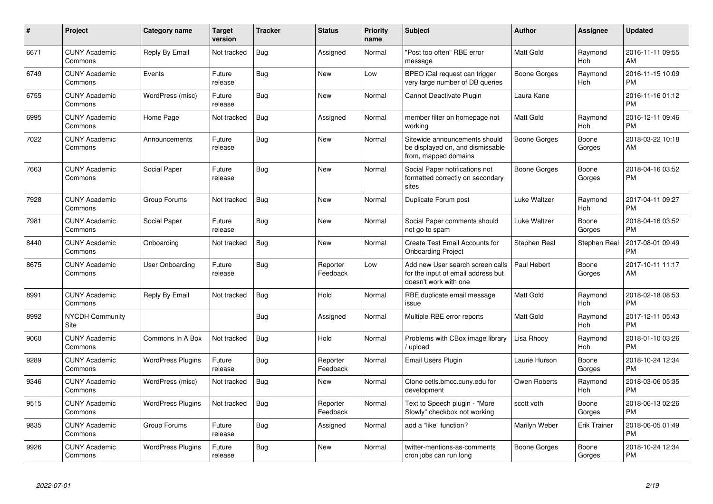| #    | <b>Project</b>                  | <b>Category name</b>     | <b>Target</b><br>version | <b>Tracker</b> | <b>Status</b>        | <b>Priority</b><br>name | <b>Subject</b>                                                                                  | <b>Author</b>       | Assignee            | <b>Updated</b>                |
|------|---------------------------------|--------------------------|--------------------------|----------------|----------------------|-------------------------|-------------------------------------------------------------------------------------------------|---------------------|---------------------|-------------------------------|
| 6671 | <b>CUNY Academic</b><br>Commons | Reply By Email           | Not tracked              | Bug            | Assigned             | Normal                  | "Post too often" RBE error<br>message                                                           | <b>Matt Gold</b>    | Raymond<br>Hoh      | 2016-11-11 09:55<br>AM        |
| 6749 | <b>CUNY Academic</b><br>Commons | Events                   | Future<br>release        | Bug            | <b>New</b>           | Low                     | BPEO iCal request can trigger<br>very large number of DB queries                                | <b>Boone Gorges</b> | Raymond<br>Hoh      | 2016-11-15 10:09<br><b>PM</b> |
| 6755 | <b>CUNY Academic</b><br>Commons | WordPress (misc)         | Future<br>release        | Bug            | <b>New</b>           | Normal                  | Cannot Deactivate Plugin                                                                        | Laura Kane          |                     | 2016-11-16 01:12<br><b>PM</b> |
| 6995 | <b>CUNY Academic</b><br>Commons | Home Page                | Not tracked              | <b>Bug</b>     | Assigned             | Normal                  | member filter on homepage not<br>working                                                        | Matt Gold           | Raymond<br>Hoh      | 2016-12-11 09:46<br><b>PM</b> |
| 7022 | <b>CUNY Academic</b><br>Commons | Announcements            | Future<br>release        | Bug            | New                  | Normal                  | Sitewide announcements should<br>be displayed on, and dismissable<br>from, mapped domains       | Boone Gorges        | Boone<br>Gorges     | 2018-03-22 10:18<br>AM        |
| 7663 | <b>CUNY Academic</b><br>Commons | Social Paper             | Future<br>release        | Bug            | <b>New</b>           | Normal                  | Social Paper notifications not<br>formatted correctly on secondary<br>sites                     | Boone Gorges        | Boone<br>Gorges     | 2018-04-16 03:52<br><b>PM</b> |
| 7928 | <b>CUNY Academic</b><br>Commons | Group Forums             | Not tracked              | <b>Bug</b>     | <b>New</b>           | Normal                  | Duplicate Forum post                                                                            | Luke Waltzer        | Raymond<br>Hoh      | 2017-04-11 09:27<br><b>PM</b> |
| 7981 | <b>CUNY Academic</b><br>Commons | Social Paper             | Future<br>release        | <b>Bug</b>     | <b>New</b>           | Normal                  | Social Paper comments should<br>not go to spam                                                  | Luke Waltzer        | Boone<br>Gorges     | 2018-04-16 03:52<br><b>PM</b> |
| 8440 | <b>CUNY Academic</b><br>Commons | Onboarding               | Not tracked              | <b>Bug</b>     | <b>New</b>           | Normal                  | Create Test Email Accounts for<br><b>Onboarding Project</b>                                     | Stephen Real        | Stephen Real        | 2017-08-01 09:49<br><b>PM</b> |
| 8675 | <b>CUNY Academic</b><br>Commons | <b>User Onboarding</b>   | Future<br>release        | <b>Bug</b>     | Reporter<br>Feedback | Low                     | Add new User search screen calls<br>for the input of email address but<br>doesn't work with one | Paul Hebert         | Boone<br>Gorges     | 2017-10-11 11:17<br>AM        |
| 8991 | <b>CUNY Academic</b><br>Commons | Reply By Email           | Not tracked              | Bug            | Hold                 | Normal                  | RBE duplicate email message<br>issue                                                            | <b>Matt Gold</b>    | Raymond<br>Hoh      | 2018-02-18 08:53<br><b>PM</b> |
| 8992 | <b>NYCDH Community</b><br>Site  |                          |                          | Bug            | Assigned             | Normal                  | Multiple RBE error reports                                                                      | <b>Matt Gold</b>    | Raymond<br>Hoh      | 2017-12-11 05:43<br><b>PM</b> |
| 9060 | <b>CUNY Academic</b><br>Commons | Commons In A Box         | Not tracked              | Bug            | Hold                 | Normal                  | Problems with CBox image library<br>/ upload                                                    | Lisa Rhody          | Raymond<br>Hoh      | 2018-01-10 03:26<br><b>PM</b> |
| 9289 | <b>CUNY Academic</b><br>Commons | <b>WordPress Plugins</b> | Future<br>release        | <b>Bug</b>     | Reporter<br>Feedback | Normal                  | Email Users Plugin                                                                              | Laurie Hurson       | Boone<br>Gorges     | 2018-10-24 12:34<br>PM.       |
| 9346 | <b>CUNY Academic</b><br>Commons | WordPress (misc)         | Not tracked              | <b>Bug</b>     | <b>New</b>           | Normal                  | Clone cetls.bmcc.cuny.edu for<br>development                                                    | Owen Roberts        | Raymond<br>Hoh      | 2018-03-06 05:35<br><b>PM</b> |
| 9515 | <b>CUNY Academic</b><br>Commons | <b>WordPress Plugins</b> | Not tracked              | Bug            | Reporter<br>Feedback | Normal                  | Text to Speech plugin - "More<br>Slowly" checkbox not working                                   | scott voth          | Boone<br>Gorges     | 2018-06-13 02:26<br><b>PM</b> |
| 9835 | <b>CUNY Academic</b><br>Commons | Group Forums             | Future<br>release        | <b>Bug</b>     | Assigned             | Normal                  | add a "like" function?                                                                          | Marilyn Weber       | <b>Erik Trainer</b> | 2018-06-05 01:49<br><b>PM</b> |
| 9926 | <b>CUNY Academic</b><br>Commons | <b>WordPress Plugins</b> | Future<br>release        | Bug            | <b>New</b>           | Normal                  | twitter-mentions-as-comments<br>cron jobs can run long                                          | Boone Gorges        | Boone<br>Gorges     | 2018-10-24 12:34<br><b>PM</b> |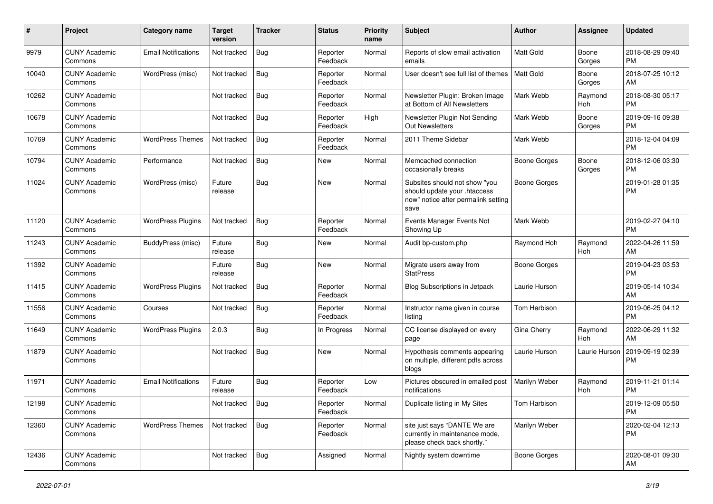| #     | Project                         | Category name              | <b>Target</b><br>version | Tracker    | <b>Status</b>        | Priority<br>name | <b>Subject</b>                                                                                               | Author              | Assignee        | <b>Updated</b>                |
|-------|---------------------------------|----------------------------|--------------------------|------------|----------------------|------------------|--------------------------------------------------------------------------------------------------------------|---------------------|-----------------|-------------------------------|
| 9979  | <b>CUNY Academic</b><br>Commons | <b>Email Notifications</b> | Not tracked              | Bug        | Reporter<br>Feedback | Normal           | Reports of slow email activation<br>emails                                                                   | Matt Gold           | Boone<br>Gorges | 2018-08-29 09:40<br><b>PM</b> |
| 10040 | <b>CUNY Academic</b><br>Commons | WordPress (misc)           | Not tracked              | Bug        | Reporter<br>Feedback | Normal           | User doesn't see full list of themes                                                                         | Matt Gold           | Boone<br>Gorges | 2018-07-25 10:12<br>AM        |
| 10262 | <b>CUNY Academic</b><br>Commons |                            | Not tracked              | Bug        | Reporter<br>Feedback | Normal           | Newsletter Plugin: Broken Image<br>at Bottom of All Newsletters                                              | Mark Webb           | Raymond<br>Hoh  | 2018-08-30 05:17<br><b>PM</b> |
| 10678 | <b>CUNY Academic</b><br>Commons |                            | Not tracked              | Bug        | Reporter<br>Feedback | High             | Newsletter Plugin Not Sending<br>Out Newsletters                                                             | Mark Webb           | Boone<br>Gorges | 2019-09-16 09:38<br><b>PM</b> |
| 10769 | <b>CUNY Academic</b><br>Commons | <b>WordPress Themes</b>    | Not tracked              | Bug        | Reporter<br>Feedback | Normal           | 2011 Theme Sidebar                                                                                           | Mark Webb           |                 | 2018-12-04 04:09<br><b>PM</b> |
| 10794 | <b>CUNY Academic</b><br>Commons | Performance                | Not tracked              | <b>Bug</b> | New                  | Normal           | Memcached connection<br>occasionally breaks                                                                  | <b>Boone Gorges</b> | Boone<br>Gorges | 2018-12-06 03:30<br><b>PM</b> |
| 11024 | <b>CUNY Academic</b><br>Commons | WordPress (misc)           | Future<br>release        | Bug        | New                  | Normal           | Subsites should not show "you<br>should update your .htaccess<br>now" notice after permalink setting<br>save | <b>Boone Gorges</b> |                 | 2019-01-28 01:35<br><b>PM</b> |
| 11120 | <b>CUNY Academic</b><br>Commons | <b>WordPress Plugins</b>   | Not tracked              | Bug        | Reporter<br>Feedback | Normal           | Events Manager Events Not<br>Showing Up                                                                      | Mark Webb           |                 | 2019-02-27 04:10<br><b>PM</b> |
| 11243 | <b>CUNY Academic</b><br>Commons | BuddyPress (misc)          | Future<br>release        | Bug        | New                  | Normal           | Audit bp-custom.php                                                                                          | Raymond Hoh         | Raymond<br>Hoh  | 2022-04-26 11:59<br>AM        |
| 11392 | <b>CUNY Academic</b><br>Commons |                            | Future<br>release        | Bug        | <b>New</b>           | Normal           | Migrate users away from<br><b>StatPress</b>                                                                  | <b>Boone Gorges</b> |                 | 2019-04-23 03:53<br><b>PM</b> |
| 11415 | <b>CUNY Academic</b><br>Commons | <b>WordPress Plugins</b>   | Not tracked              | Bug        | Reporter<br>Feedback | Normal           | Blog Subscriptions in Jetpack                                                                                | Laurie Hurson       |                 | 2019-05-14 10:34<br>AM        |
| 11556 | <b>CUNY Academic</b><br>Commons | Courses                    | Not tracked              | Bug        | Reporter<br>Feedback | Normal           | Instructor name given in course<br>listing                                                                   | Tom Harbison        |                 | 2019-06-25 04:12<br><b>PM</b> |
| 11649 | <b>CUNY Academic</b><br>Commons | <b>WordPress Plugins</b>   | 2.0.3                    | Bug        | In Progress          | Normal           | CC license displayed on every<br>page                                                                        | Gina Cherry         | Raymond<br>Hoh  | 2022-06-29 11:32<br>AM        |
| 11879 | <b>CUNY Academic</b><br>Commons |                            | Not tracked              | <b>Bug</b> | <b>New</b>           | Normal           | Hypothesis comments appearing<br>on multiple, different pdfs across<br>blogs                                 | Laurie Hurson       | Laurie Hurson   | 2019-09-19 02:39<br><b>PM</b> |
| 11971 | <b>CUNY Academic</b><br>Commons | <b>Email Notifications</b> | Future<br>release        | <b>Bug</b> | Reporter<br>Feedback | Low              | Pictures obscured in emailed post<br>notifications                                                           | Marilyn Weber       | Raymond<br>Hoh  | 2019-11-21 01:14<br><b>PM</b> |
| 12198 | <b>CUNY Academic</b><br>Commons |                            | Not tracked $\vert$ Bug  |            | Reporter<br>Feedback | Normal           | Duplicate listing in My Sites                                                                                | Tom Harbison        |                 | 2019-12-09 05:50<br><b>PM</b> |
| 12360 | <b>CUNY Academic</b><br>Commons | <b>WordPress Themes</b>    | Not tracked              | Bug        | Reporter<br>Feedback | Normal           | site just says "DANTE We are<br>currently in maintenance mode,<br>please check back shortly."                | Marilyn Weber       |                 | 2020-02-04 12:13<br><b>PM</b> |
| 12436 | <b>CUNY Academic</b><br>Commons |                            | Not tracked              | Bug        | Assigned             | Normal           | Nightly system downtime                                                                                      | Boone Gorges        |                 | 2020-08-01 09:30<br>AM        |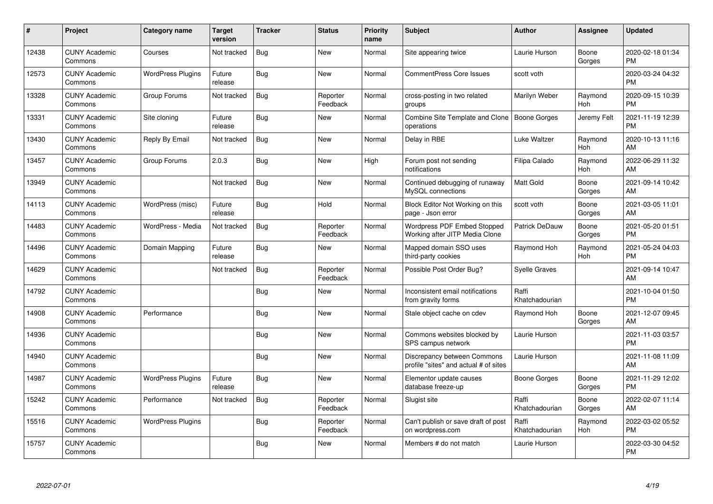| #     | Project                         | <b>Category name</b>     | <b>Target</b><br>version | <b>Tracker</b> | <b>Status</b>        | <b>Priority</b><br>name | <b>Subject</b>                                                       | <b>Author</b>           | <b>Assignee</b> | <b>Updated</b>                |
|-------|---------------------------------|--------------------------|--------------------------|----------------|----------------------|-------------------------|----------------------------------------------------------------------|-------------------------|-----------------|-------------------------------|
| 12438 | <b>CUNY Academic</b><br>Commons | Courses                  | Not tracked              | <b>Bug</b>     | <b>New</b>           | Normal                  | Site appearing twice                                                 | Laurie Hurson           | Boone<br>Gorges | 2020-02-18 01:34<br><b>PM</b> |
| 12573 | <b>CUNY Academic</b><br>Commons | <b>WordPress Plugins</b> | Future<br>release        | Bug            | <b>New</b>           | Normal                  | <b>CommentPress Core Issues</b>                                      | scott voth              |                 | 2020-03-24 04:32<br><b>PM</b> |
| 13328 | <b>CUNY Academic</b><br>Commons | Group Forums             | Not tracked              | <b>Bug</b>     | Reporter<br>Feedback | Normal                  | cross-posting in two related<br>groups                               | Marilyn Weber           | Raymond<br>Hoh  | 2020-09-15 10:39<br><b>PM</b> |
| 13331 | <b>CUNY Academic</b><br>Commons | Site cloning             | Future<br>release        | Bug            | <b>New</b>           | Normal                  | Combine Site Template and Clone<br>operations                        | Boone Gorges            | Jeremy Felt     | 2021-11-19 12:39<br><b>PM</b> |
| 13430 | <b>CUNY Academic</b><br>Commons | Reply By Email           | Not tracked              | <b>Bug</b>     | <b>New</b>           | Normal                  | Delay in RBE                                                         | Luke Waltzer            | Raymond<br>Hoh  | 2020-10-13 11:16<br>AM        |
| 13457 | <b>CUNY Academic</b><br>Commons | Group Forums             | 2.0.3                    | Bug            | <b>New</b>           | High                    | Forum post not sending<br>notifications                              | Filipa Calado           | Raymond<br>Hoh  | 2022-06-29 11:32<br>AM        |
| 13949 | <b>CUNY Academic</b><br>Commons |                          | Not tracked              | Bug            | <b>New</b>           | Normal                  | Continued debugging of runaway<br>MySQL connections                  | <b>Matt Gold</b>        | Boone<br>Gorges | 2021-09-14 10:42<br>AM        |
| 14113 | <b>CUNY Academic</b><br>Commons | WordPress (misc)         | Future<br>release        | Bug            | Hold                 | Normal                  | Block Editor Not Working on this<br>page - Json error                | scott voth              | Boone<br>Gorges | 2021-03-05 11:01<br>AM        |
| 14483 | <b>CUNY Academic</b><br>Commons | WordPress - Media        | Not tracked              | <b>Bug</b>     | Reporter<br>Feedback | Normal                  | Wordpress PDF Embed Stopped<br>Working after JITP Media Clone        | Patrick DeDauw          | Boone<br>Gorges | 2021-05-20 01:51<br><b>PM</b> |
| 14496 | <b>CUNY Academic</b><br>Commons | Domain Mapping           | Future<br>release        | <b>Bug</b>     | <b>New</b>           | Normal                  | Mapped domain SSO uses<br>third-party cookies                        | Raymond Hoh             | Raymond<br>Hoh  | 2021-05-24 04:03<br><b>PM</b> |
| 14629 | <b>CUNY Academic</b><br>Commons |                          | Not tracked              | Bug            | Reporter<br>Feedback | Normal                  | Possible Post Order Bug?                                             | Syelle Graves           |                 | 2021-09-14 10:47<br>AM        |
| 14792 | <b>CUNY Academic</b><br>Commons |                          |                          | <b>Bug</b>     | New                  | Normal                  | Inconsistent email notifications<br>from gravity forms               | Raffi<br>Khatchadourian |                 | 2021-10-04 01:50<br><b>PM</b> |
| 14908 | <b>CUNY Academic</b><br>Commons | Performance              |                          | Bug            | <b>New</b>           | Normal                  | Stale object cache on cdev                                           | Raymond Hoh             | Boone<br>Gorges | 2021-12-07 09:45<br>AM        |
| 14936 | <b>CUNY Academic</b><br>Commons |                          |                          | <b>Bug</b>     | New                  | Normal                  | Commons websites blocked by<br>SPS campus network                    | Laurie Hurson           |                 | 2021-11-03 03:57<br><b>PM</b> |
| 14940 | <b>CUNY Academic</b><br>Commons |                          |                          | <b>Bug</b>     | New                  | Normal                  | Discrepancy between Commons<br>profile "sites" and actual # of sites | Laurie Hurson           |                 | 2021-11-08 11:09<br>AM        |
| 14987 | <b>CUNY Academic</b><br>Commons | <b>WordPress Plugins</b> | Future<br>release        | Bug            | <b>New</b>           | Normal                  | Elementor update causes<br>database freeze-up                        | Boone Gorges            | Boone<br>Gorges | 2021-11-29 12:02<br><b>PM</b> |
| 15242 | <b>CUNY Academic</b><br>Commons | Performance              | Not tracked              | Bug            | Reporter<br>Feedback | Normal                  | Slugist site                                                         | Raffi<br>Khatchadourian | Boone<br>Gorges | 2022-02-07 11:14<br>AM        |
| 15516 | <b>CUNY Academic</b><br>Commons | <b>WordPress Plugins</b> |                          | Bug            | Reporter<br>Feedback | Normal                  | Can't publish or save draft of post<br>on wordpress.com              | Raffi<br>Khatchadourian | Raymond<br>Hoh  | 2022-03-02 05:52<br><b>PM</b> |
| 15757 | <b>CUNY Academic</b><br>Commons |                          |                          | <b>Bug</b>     | <b>New</b>           | Normal                  | Members # do not match                                               | Laurie Hurson           |                 | 2022-03-30 04:52<br>PM        |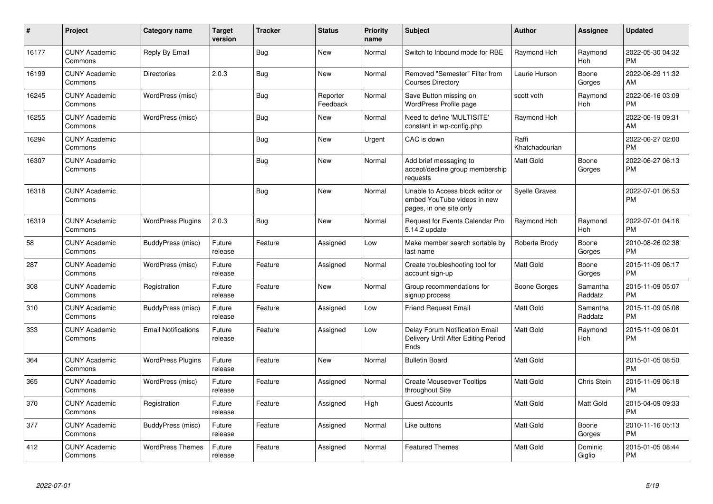| $\#$  | Project                         | <b>Category name</b>       | <b>Target</b><br>version | <b>Tracker</b> | <b>Status</b>        | <b>Priority</b><br>name | <b>Subject</b>                                                                             | Author                  | <b>Assignee</b>     | <b>Updated</b>                |
|-------|---------------------------------|----------------------------|--------------------------|----------------|----------------------|-------------------------|--------------------------------------------------------------------------------------------|-------------------------|---------------------|-------------------------------|
| 16177 | <b>CUNY Academic</b><br>Commons | Reply By Email             |                          | <b>Bug</b>     | <b>New</b>           | Normal                  | Switch to Inbound mode for RBE                                                             | Raymond Hoh             | Raymond<br>Hoh      | 2022-05-30 04:32<br><b>PM</b> |
| 16199 | <b>CUNY Academic</b><br>Commons | <b>Directories</b>         | 2.0.3                    | Bug            | <b>New</b>           | Normal                  | Removed "Semester" Filter from<br><b>Courses Directory</b>                                 | Laurie Hurson           | Boone<br>Gorges     | 2022-06-29 11:32<br>AM        |
| 16245 | <b>CUNY Academic</b><br>Commons | WordPress (misc)           |                          | <b>Bug</b>     | Reporter<br>Feedback | Normal                  | Save Button missing on<br>WordPress Profile page                                           | scott voth              | Raymond<br>Hoh      | 2022-06-16 03:09<br><b>PM</b> |
| 16255 | <b>CUNY Academic</b><br>Commons | WordPress (misc)           |                          | Bug            | New                  | Normal                  | Need to define 'MULTISITE'<br>constant in wp-config.php                                    | Raymond Hoh             |                     | 2022-06-19 09:31<br>AM        |
| 16294 | <b>CUNY Academic</b><br>Commons |                            |                          | Bug            | <b>New</b>           | Urgent                  | CAC is down                                                                                | Raffi<br>Khatchadourian |                     | 2022-06-27 02:00<br><b>PM</b> |
| 16307 | <b>CUNY Academic</b><br>Commons |                            |                          | <b>Bug</b>     | <b>New</b>           | Normal                  | Add brief messaging to<br>accept/decline group membership<br>requests                      | <b>Matt Gold</b>        | Boone<br>Gorges     | 2022-06-27 06:13<br><b>PM</b> |
| 16318 | <b>CUNY Academic</b><br>Commons |                            |                          | Bug            | <b>New</b>           | Normal                  | Unable to Access block editor or<br>embed YouTube videos in new<br>pages, in one site only | Syelle Graves           |                     | 2022-07-01 06:53<br>PM        |
| 16319 | <b>CUNY Academic</b><br>Commons | <b>WordPress Plugins</b>   | 2.0.3                    | Bug            | New                  | Normal                  | Request for Events Calendar Pro<br>5.14.2 update                                           | Raymond Hoh             | Raymond<br>Hoh      | 2022-07-01 04:16<br><b>PM</b> |
| 58    | <b>CUNY Academic</b><br>Commons | BuddyPress (misc)          | Future<br>release        | Feature        | Assigned             | Low                     | Make member search sortable by<br>last name                                                | Roberta Brody           | Boone<br>Gorges     | 2010-08-26 02:38<br><b>PM</b> |
| 287   | <b>CUNY Academic</b><br>Commons | WordPress (misc)           | Future<br>release        | Feature        | Assigned             | Normal                  | Create troubleshooting tool for<br>account sign-up                                         | Matt Gold               | Boone<br>Gorges     | 2015-11-09 06:17<br><b>PM</b> |
| 308   | <b>CUNY Academic</b><br>Commons | Registration               | Future<br>release        | Feature        | <b>New</b>           | Normal                  | Group recommendations for<br>signup process                                                | Boone Gorges            | Samantha<br>Raddatz | 2015-11-09 05:07<br><b>PM</b> |
| 310   | <b>CUNY Academic</b><br>Commons | BuddyPress (misc)          | Future<br>release        | Feature        | Assigned             | Low                     | <b>Friend Request Email</b>                                                                | <b>Matt Gold</b>        | Samantha<br>Raddatz | 2015-11-09 05:08<br><b>PM</b> |
| 333   | <b>CUNY Academic</b><br>Commons | <b>Email Notifications</b> | Future<br>release        | Feature        | Assigned             | Low                     | Delay Forum Notification Email<br>Delivery Until After Editing Period<br>Ends              | Matt Gold               | Raymond<br>Hoh      | 2015-11-09 06:01<br><b>PM</b> |
| 364   | <b>CUNY Academic</b><br>Commons | <b>WordPress Plugins</b>   | Future<br>release        | Feature        | <b>New</b>           | Normal                  | <b>Bulletin Board</b>                                                                      | Matt Gold               |                     | 2015-01-05 08:50<br><b>PM</b> |
| 365   | <b>CUNY Academic</b><br>Commons | WordPress (misc)           | Future<br>release        | Feature        | Assigned             | Normal                  | <b>Create Mouseover Tooltips</b><br>throughout Site                                        | Matt Gold               | Chris Stein         | 2015-11-09 06:18<br><b>PM</b> |
| 370   | <b>CUNY Academic</b><br>Commons | Registration               | Future<br>release        | Feature        | Assigned             | High                    | <b>Guest Accounts</b>                                                                      | <b>Matt Gold</b>        | <b>Matt Gold</b>    | 2015-04-09 09:33<br><b>PM</b> |
| 377   | <b>CUNY Academic</b><br>Commons | BuddyPress (misc)          | Future<br>release        | Feature        | Assigned             | Normal                  | Like buttons                                                                               | Matt Gold               | Boone<br>Gorges     | 2010-11-16 05:13<br><b>PM</b> |
| 412   | <b>CUNY Academic</b><br>Commons | <b>WordPress Themes</b>    | Future<br>release        | Feature        | Assigned             | Normal                  | <b>Featured Themes</b>                                                                     | <b>Matt Gold</b>        | Dominic<br>Giglio   | 2015-01-05 08:44<br><b>PM</b> |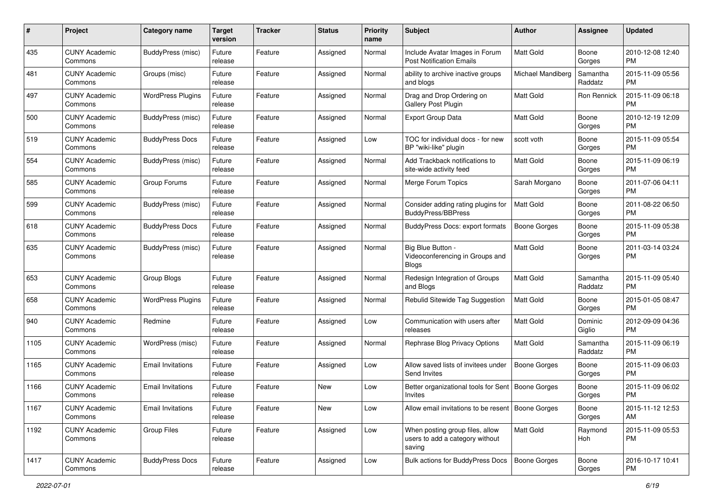| #    | Project                         | <b>Category name</b>     | <b>Target</b><br>version | Tracker | <b>Status</b> | <b>Priority</b><br>name | <b>Subject</b>                                                               | <b>Author</b>       | <b>Assignee</b>     | <b>Updated</b>                |
|------|---------------------------------|--------------------------|--------------------------|---------|---------------|-------------------------|------------------------------------------------------------------------------|---------------------|---------------------|-------------------------------|
| 435  | <b>CUNY Academic</b><br>Commons | BuddyPress (misc)        | Future<br>release        | Feature | Assigned      | Normal                  | Include Avatar Images in Forum<br><b>Post Notification Emails</b>            | <b>Matt Gold</b>    | Boone<br>Gorges     | 2010-12-08 12:40<br>PM.       |
| 481  | <b>CUNY Academic</b><br>Commons | Groups (misc)            | Future<br>release        | Feature | Assigned      | Normal                  | ability to archive inactive groups<br>and blogs                              | Michael Mandiberg   | Samantha<br>Raddatz | 2015-11-09 05:56<br><b>PM</b> |
| 497  | <b>CUNY Academic</b><br>Commons | <b>WordPress Plugins</b> | Future<br>release        | Feature | Assigned      | Normal                  | Drag and Drop Ordering on<br><b>Gallery Post Plugin</b>                      | Matt Gold           | Ron Rennick         | 2015-11-09 06:18<br><b>PM</b> |
| 500  | <b>CUNY Academic</b><br>Commons | BuddyPress (misc)        | Future<br>release        | Feature | Assigned      | Normal                  | <b>Export Group Data</b>                                                     | <b>Matt Gold</b>    | Boone<br>Gorges     | 2010-12-19 12:09<br><b>PM</b> |
| 519  | <b>CUNY Academic</b><br>Commons | <b>BuddyPress Docs</b>   | Future<br>release        | Feature | Assigned      | Low                     | TOC for individual docs - for new<br>BP "wiki-like" plugin                   | scott voth          | Boone<br>Gorges     | 2015-11-09 05:54<br><b>PM</b> |
| 554  | <b>CUNY Academic</b><br>Commons | BuddyPress (misc)        | Future<br>release        | Feature | Assigned      | Normal                  | Add Trackback notifications to<br>site-wide activity feed                    | <b>Matt Gold</b>    | Boone<br>Gorges     | 2015-11-09 06:19<br><b>PM</b> |
| 585  | <b>CUNY Academic</b><br>Commons | Group Forums             | Future<br>release        | Feature | Assigned      | Normal                  | Merge Forum Topics                                                           | Sarah Morgano       | Boone<br>Gorges     | 2011-07-06 04:11<br><b>PM</b> |
| 599  | <b>CUNY Academic</b><br>Commons | BuddyPress (misc)        | Future<br>release        | Feature | Assigned      | Normal                  | Consider adding rating plugins for<br><b>BuddyPress/BBPress</b>              | <b>Matt Gold</b>    | Boone<br>Gorges     | 2011-08-22 06:50<br><b>PM</b> |
| 618  | <b>CUNY Academic</b><br>Commons | <b>BuddyPress Docs</b>   | Future<br>release        | Feature | Assigned      | Normal                  | BuddyPress Docs: export formats                                              | <b>Boone Gorges</b> | Boone<br>Gorges     | 2015-11-09 05:38<br><b>PM</b> |
| 635  | <b>CUNY Academic</b><br>Commons | BuddyPress (misc)        | Future<br>release        | Feature | Assigned      | Normal                  | Big Blue Button -<br>Videoconferencing in Groups and<br><b>Blogs</b>         | Matt Gold           | Boone<br>Gorges     | 2011-03-14 03:24<br><b>PM</b> |
| 653  | <b>CUNY Academic</b><br>Commons | Group Blogs              | Future<br>release        | Feature | Assigned      | Normal                  | Redesign Integration of Groups<br>and Blogs                                  | Matt Gold           | Samantha<br>Raddatz | 2015-11-09 05:40<br><b>PM</b> |
| 658  | <b>CUNY Academic</b><br>Commons | <b>WordPress Plugins</b> | Future<br>release        | Feature | Assigned      | Normal                  | Rebulid Sitewide Tag Suggestion                                              | <b>Matt Gold</b>    | Boone<br>Gorges     | 2015-01-05 08:47<br><b>PM</b> |
| 940  | <b>CUNY Academic</b><br>Commons | Redmine                  | Future<br>release        | Feature | Assigned      | Low                     | Communication with users after<br>releases                                   | <b>Matt Gold</b>    | Dominic<br>Giglio   | 2012-09-09 04:36<br><b>PM</b> |
| 1105 | <b>CUNY Academic</b><br>Commons | WordPress (misc)         | Future<br>release        | Feature | Assigned      | Normal                  | Rephrase Blog Privacy Options                                                | Matt Gold           | Samantha<br>Raddatz | 2015-11-09 06:19<br><b>PM</b> |
| 1165 | <b>CUNY Academic</b><br>Commons | <b>Email Invitations</b> | Future<br>release        | Feature | Assigned      | Low                     | Allow saved lists of invitees under<br>Send Invites                          | <b>Boone Gorges</b> | Boone<br>Gorges     | 2015-11-09 06:03<br><b>PM</b> |
| 1166 | <b>CUNY Academic</b><br>Commons | <b>Email Invitations</b> | Future<br>release        | Feature | New           | Low                     | Better organizational tools for Sent<br>Invites                              | Boone Gorges        | Boone<br>Gorges     | 2015-11-09 06:02<br><b>PM</b> |
| 1167 | <b>CUNY Academic</b><br>Commons | <b>Email Invitations</b> | Future<br>release        | Feature | New           | Low                     | Allow email invitations to be resent   Boone Gorges                          |                     | Boone<br>Gorges     | 2015-11-12 12:53<br>AM        |
| 1192 | <b>CUNY Academic</b><br>Commons | Group Files              | Future<br>release        | Feature | Assigned      | Low                     | When posting group files, allow<br>users to add a category without<br>saving | Matt Gold           | Raymond<br>Hoh      | 2015-11-09 05:53<br>PM        |
| 1417 | <b>CUNY Academic</b><br>Commons | <b>BuddyPress Docs</b>   | Future<br>release        | Feature | Assigned      | Low                     | <b>Bulk actions for BuddyPress Docs</b>                                      | Boone Gorges        | Boone<br>Gorges     | 2016-10-17 10:41<br>PM        |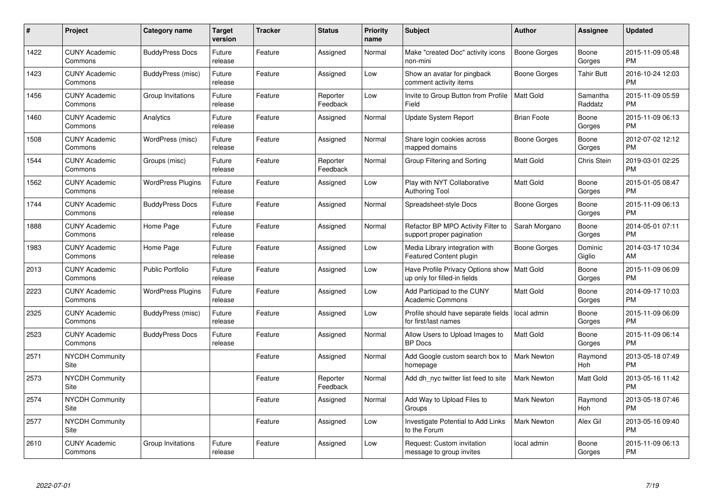| #    | Project                         | <b>Category name</b>     | <b>Target</b><br>version | <b>Tracker</b> | <b>Status</b>        | <b>Priority</b><br>name | <b>Subject</b>                                                    | <b>Author</b>       | <b>Assignee</b>     | <b>Updated</b>                |
|------|---------------------------------|--------------------------|--------------------------|----------------|----------------------|-------------------------|-------------------------------------------------------------------|---------------------|---------------------|-------------------------------|
| 1422 | <b>CUNY Academic</b><br>Commons | <b>BuddyPress Docs</b>   | Future<br>release        | Feature        | Assigned             | Normal                  | Make "created Doc" activity icons<br>non-mini                     | <b>Boone Gorges</b> | Boone<br>Gorges     | 2015-11-09 05:48<br><b>PM</b> |
| 1423 | <b>CUNY Academic</b><br>Commons | BuddyPress (misc)        | Future<br>release        | Feature        | Assigned             | Low                     | Show an avatar for pingback<br>comment activity items             | Boone Gorges        | Tahir Butt          | 2016-10-24 12:03<br><b>PM</b> |
| 1456 | <b>CUNY Academic</b><br>Commons | Group Invitations        | Future<br>release        | Feature        | Reporter<br>Feedback | Low                     | Invite to Group Button from Profile<br>Field                      | <b>Matt Gold</b>    | Samantha<br>Raddatz | 2015-11-09 05:59<br><b>PM</b> |
| 1460 | <b>CUNY Academic</b><br>Commons | Analytics                | Future<br>release        | Feature        | Assigned             | Normal                  | Update System Report                                              | <b>Brian Foote</b>  | Boone<br>Gorges     | 2015-11-09 06:13<br><b>PM</b> |
| 1508 | <b>CUNY Academic</b><br>Commons | WordPress (misc)         | Future<br>release        | Feature        | Assigned             | Normal                  | Share login cookies across<br>mapped domains                      | Boone Gorges        | Boone<br>Gorges     | 2012-07-02 12:12<br><b>PM</b> |
| 1544 | <b>CUNY Academic</b><br>Commons | Groups (misc)            | Future<br>release        | Feature        | Reporter<br>Feedback | Normal                  | Group Filtering and Sorting                                       | Matt Gold           | Chris Stein         | 2019-03-01 02:25<br><b>PM</b> |
| 1562 | <b>CUNY Academic</b><br>Commons | <b>WordPress Plugins</b> | Future<br>release        | Feature        | Assigned             | Low                     | Play with NYT Collaborative<br><b>Authoring Tool</b>              | <b>Matt Gold</b>    | Boone<br>Gorges     | 2015-01-05 08:47<br><b>PM</b> |
| 1744 | <b>CUNY Academic</b><br>Commons | <b>BuddyPress Docs</b>   | Future<br>release        | Feature        | Assigned             | Normal                  | Spreadsheet-style Docs                                            | Boone Gorges        | Boone<br>Gorges     | 2015-11-09 06:13<br><b>PM</b> |
| 1888 | <b>CUNY Academic</b><br>Commons | Home Page                | Future<br>release        | Feature        | Assigned             | Normal                  | Refactor BP MPO Activity Filter to<br>support proper pagination   | Sarah Morgano       | Boone<br>Gorges     | 2014-05-01 07:11<br><b>PM</b> |
| 1983 | <b>CUNY Academic</b><br>Commons | Home Page                | Future<br>release        | Feature        | Assigned             | Low                     | Media Library integration with<br>Featured Content plugin         | Boone Gorges        | Dominic<br>Giglio   | 2014-03-17 10:34<br>AM        |
| 2013 | <b>CUNY Academic</b><br>Commons | <b>Public Portfolio</b>  | Future<br>release        | Feature        | Assigned             | Low                     | Have Profile Privacy Options show<br>up only for filled-in fields | <b>Matt Gold</b>    | Boone<br>Gorges     | 2015-11-09 06:09<br><b>PM</b> |
| 2223 | <b>CUNY Academic</b><br>Commons | <b>WordPress Plugins</b> | Future<br>release        | Feature        | Assigned             | Low                     | Add Participad to the CUNY<br><b>Academic Commons</b>             | Matt Gold           | Boone<br>Gorges     | 2014-09-17 10:03<br><b>PM</b> |
| 2325 | <b>CUNY Academic</b><br>Commons | BuddyPress (misc)        | Future<br>release        | Feature        | Assigned             | Low                     | Profile should have separate fields<br>for first/last names       | local admin         | Boone<br>Gorges     | 2015-11-09 06:09<br>PM        |
| 2523 | <b>CUNY Academic</b><br>Commons | <b>BuddyPress Docs</b>   | Future<br>release        | Feature        | Assigned             | Normal                  | Allow Users to Upload Images to<br><b>BP</b> Docs                 | <b>Matt Gold</b>    | Boone<br>Gorges     | 2015-11-09 06:14<br><b>PM</b> |
| 2571 | <b>NYCDH Community</b><br>Site  |                          |                          | Feature        | Assigned             | Normal                  | Add Google custom search box to<br>homepage                       | <b>Mark Newton</b>  | Raymond<br>Hoh      | 2013-05-18 07:49<br><b>PM</b> |
| 2573 | <b>NYCDH Community</b><br>Site  |                          |                          | Feature        | Reporter<br>Feedback | Normal                  | Add dh_nyc twitter list feed to site                              | <b>Mark Newton</b>  | Matt Gold           | 2013-05-16 11:42<br><b>PM</b> |
| 2574 | <b>NYCDH Community</b><br>Site  |                          |                          | Feature        | Assigned             | Normal                  | Add Way to Upload Files to<br>Groups                              | Mark Newton         | Raymond<br>Hoh      | 2013-05-18 07:46<br><b>PM</b> |
| 2577 | <b>NYCDH Community</b><br>Site  |                          |                          | Feature        | Assigned             | Low                     | Investigate Potential to Add Links<br>to the Forum                | <b>Mark Newton</b>  | Alex Gil            | 2013-05-16 09:40<br><b>PM</b> |
| 2610 | <b>CUNY Academic</b><br>Commons | Group Invitations        | Future<br>release        | Feature        | Assigned             | Low                     | Request: Custom invitation<br>message to group invites            | local admin         | Boone<br>Gorges     | 2015-11-09 06:13<br>PM        |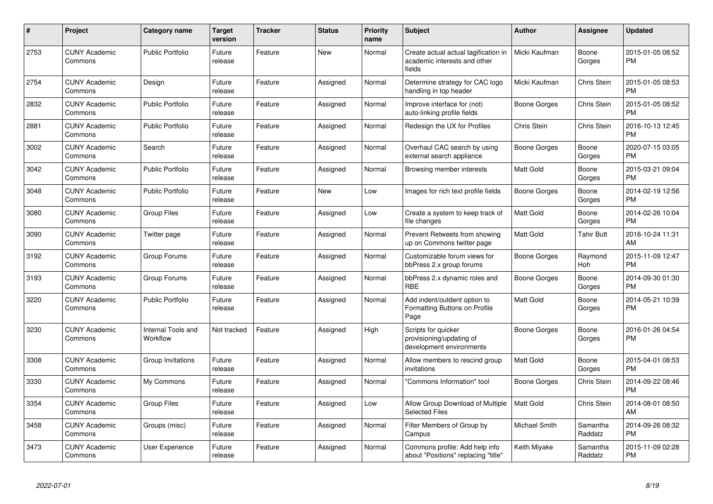| #    | <b>Project</b>                  | Category name                  | <b>Target</b><br>version | <b>Tracker</b> | <b>Status</b> | <b>Priority</b><br>name | <b>Subject</b>                                                                 | <b>Author</b>    | Assignee            | <b>Updated</b>                |
|------|---------------------------------|--------------------------------|--------------------------|----------------|---------------|-------------------------|--------------------------------------------------------------------------------|------------------|---------------------|-------------------------------|
| 2753 | <b>CUNY Academic</b><br>Commons | <b>Public Portfolio</b>        | Future<br>release        | Feature        | New           | Normal                  | Create actual actual tagification in<br>academic interests and other<br>fields | Micki Kaufman    | Boone<br>Gorges     | 2015-01-05 08:52<br><b>PM</b> |
| 2754 | <b>CUNY Academic</b><br>Commons | Design                         | Future<br>release        | Feature        | Assigned      | Normal                  | Determine strategy for CAC logo<br>handling in top header                      | Micki Kaufman    | Chris Stein         | 2015-01-05 08:53<br><b>PM</b> |
| 2832 | <b>CUNY Academic</b><br>Commons | <b>Public Portfolio</b>        | Future<br>release        | Feature        | Assigned      | Normal                  | Improve interface for (not)<br>auto-linking profile fields                     | Boone Gorges     | Chris Stein         | 2015-01-05 08:52<br><b>PM</b> |
| 2881 | <b>CUNY Academic</b><br>Commons | <b>Public Portfolio</b>        | Future<br>release        | Feature        | Assigned      | Normal                  | Redesign the UX for Profiles                                                   | Chris Stein      | <b>Chris Stein</b>  | 2016-10-13 12:45<br><b>PM</b> |
| 3002 | <b>CUNY Academic</b><br>Commons | Search                         | Future<br>release        | Feature        | Assigned      | Normal                  | Overhaul CAC search by using<br>external search appliance                      | Boone Gorges     | Boone<br>Gorges     | 2020-07-15 03:05<br><b>PM</b> |
| 3042 | <b>CUNY Academic</b><br>Commons | <b>Public Portfolio</b>        | Future<br>release        | Feature        | Assigned      | Normal                  | Browsing member interests                                                      | Matt Gold        | Boone<br>Gorges     | 2015-03-21 09:04<br><b>PM</b> |
| 3048 | <b>CUNY Academic</b><br>Commons | <b>Public Portfolio</b>        | Future<br>release        | Feature        | <b>New</b>    | Low                     | Images for rich text profile fields                                            | Boone Gorges     | Boone<br>Gorges     | 2014-02-19 12:56<br><b>PM</b> |
| 3080 | <b>CUNY Academic</b><br>Commons | <b>Group Files</b>             | Future<br>release        | Feature        | Assigned      | Low                     | Create a system to keep track of<br>file changes                               | <b>Matt Gold</b> | Boone<br>Gorges     | 2014-02-26 10:04<br><b>PM</b> |
| 3090 | <b>CUNY Academic</b><br>Commons | Twitter page                   | Future<br>release        | Feature        | Assigned      | Normal                  | Prevent Retweets from showing<br>up on Commons twitter page                    | Matt Gold        | Tahir Butt          | 2016-10-24 11:31<br>AM        |
| 3192 | <b>CUNY Academic</b><br>Commons | Group Forums                   | Future<br>release        | Feature        | Assigned      | Normal                  | Customizable forum views for<br>bbPress 2.x group forums                       | Boone Gorges     | Raymond<br>Hoh      | 2015-11-09 12:47<br><b>PM</b> |
| 3193 | <b>CUNY Academic</b><br>Commons | Group Forums                   | Future<br>release        | Feature        | Assigned      | Normal                  | bbPress 2.x dynamic roles and<br><b>RBE</b>                                    | Boone Gorges     | Boone<br>Gorges     | 2014-09-30 01:30<br><b>PM</b> |
| 3220 | <b>CUNY Academic</b><br>Commons | <b>Public Portfolio</b>        | Future<br>release        | Feature        | Assigned      | Normal                  | Add indent/outdent option to<br>Formatting Buttons on Profile<br>Page          | Matt Gold        | Boone<br>Gorges     | 2014-05-21 10:39<br><b>PM</b> |
| 3230 | <b>CUNY Academic</b><br>Commons | Internal Tools and<br>Workflow | Not tracked              | Feature        | Assigned      | High                    | Scripts for quicker<br>provisioning/updating of<br>development environments    | Boone Gorges     | Boone<br>Gorges     | 2016-01-26 04:54<br><b>PM</b> |
| 3308 | <b>CUNY Academic</b><br>Commons | Group Invitations              | Future<br>release        | Feature        | Assigned      | Normal                  | Allow members to rescind group<br>invitations                                  | <b>Matt Gold</b> | Boone<br>Gorges     | 2015-04-01 08:53<br><b>PM</b> |
| 3330 | <b>CUNY Academic</b><br>Commons | My Commons                     | Future<br>release        | Feature        | Assigned      | Normal                  | "Commons Information" tool                                                     | Boone Gorges     | Chris Stein         | 2014-09-22 08:46<br><b>PM</b> |
| 3354 | <b>CUNY Academic</b><br>Commons | <b>Group Files</b>             | Future<br>release        | Feature        | Assigned      | Low                     | Allow Group Download of Multiple<br><b>Selected Files</b>                      | <b>Matt Gold</b> | Chris Stein         | 2014-08-01 08:50<br>AM        |
| 3458 | <b>CUNY Academic</b><br>Commons | Groups (misc)                  | Future<br>release        | Feature        | Assigned      | Normal                  | Filter Members of Group by<br>Campus                                           | Michael Smith    | Samantha<br>Raddatz | 2014-09-26 08:32<br><b>PM</b> |
| 3473 | <b>CUNY Academic</b><br>Commons | <b>User Experience</b>         | Future<br>release        | Feature        | Assigned      | Normal                  | Commons profile: Add help info<br>about "Positions" replacing "title"          | Keith Miyake     | Samantha<br>Raddatz | 2015-11-09 02:28<br><b>PM</b> |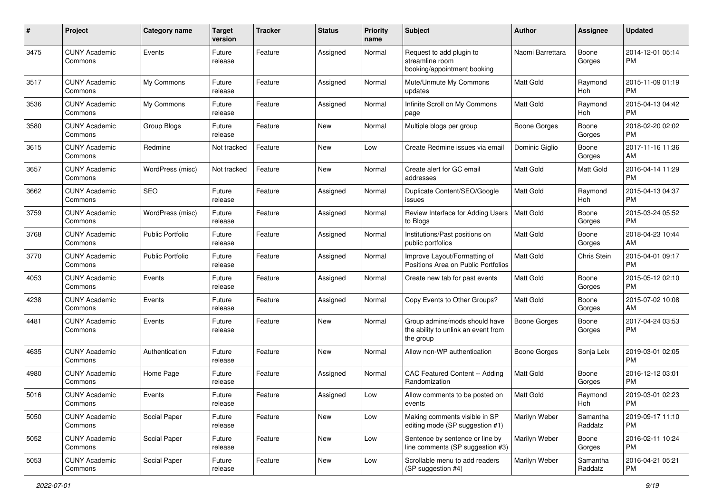| #    | Project                         | <b>Category name</b>    | <b>Target</b><br>version | <b>Tracker</b> | <b>Status</b> | Priority<br>name | <b>Subject</b>                                                                    | Author           | <b>Assignee</b>     | <b>Updated</b>                |
|------|---------------------------------|-------------------------|--------------------------|----------------|---------------|------------------|-----------------------------------------------------------------------------------|------------------|---------------------|-------------------------------|
| 3475 | <b>CUNY Academic</b><br>Commons | Events                  | Future<br>release        | Feature        | Assigned      | Normal           | Request to add plugin to<br>streamline room<br>booking/appointment booking        | Naomi Barrettara | Boone<br>Gorges     | 2014-12-01 05:14<br>PM.       |
| 3517 | <b>CUNY Academic</b><br>Commons | My Commons              | Future<br>release        | Feature        | Assigned      | Normal           | Mute/Unmute My Commons<br>updates                                                 | <b>Matt Gold</b> | Raymond<br>Hoh      | 2015-11-09 01:19<br>PM.       |
| 3536 | <b>CUNY Academic</b><br>Commons | My Commons              | Future<br>release        | Feature        | Assigned      | Normal           | Infinite Scroll on My Commons<br>page                                             | <b>Matt Gold</b> | Raymond<br>Hoh      | 2015-04-13 04:42<br><b>PM</b> |
| 3580 | <b>CUNY Academic</b><br>Commons | Group Blogs             | Future<br>release        | Feature        | New           | Normal           | Multiple blogs per group                                                          | Boone Gorges     | Boone<br>Gorges     | 2018-02-20 02:02<br><b>PM</b> |
| 3615 | <b>CUNY Academic</b><br>Commons | Redmine                 | Not tracked              | Feature        | <b>New</b>    | Low              | Create Redmine issues via email                                                   | Dominic Giglio   | Boone<br>Gorges     | 2017-11-16 11:36<br>AM        |
| 3657 | <b>CUNY Academic</b><br>Commons | WordPress (misc)        | Not tracked              | Feature        | New           | Normal           | Create alert for GC email<br>addresses                                            | <b>Matt Gold</b> | Matt Gold           | 2016-04-14 11:29<br><b>PM</b> |
| 3662 | <b>CUNY Academic</b><br>Commons | SEO                     | Future<br>release        | Feature        | Assigned      | Normal           | Duplicate Content/SEO/Google<br>issues                                            | <b>Matt Gold</b> | Raymond<br>Hoh      | 2015-04-13 04:37<br><b>PM</b> |
| 3759 | <b>CUNY Academic</b><br>Commons | WordPress (misc)        | Future<br>release        | Feature        | Assigned      | Normal           | Review Interface for Adding Users<br>to Blogs                                     | <b>Matt Gold</b> | Boone<br>Gorges     | 2015-03-24 05:52<br><b>PM</b> |
| 3768 | <b>CUNY Academic</b><br>Commons | Public Portfolio        | Future<br>release        | Feature        | Assigned      | Normal           | Institutions/Past positions on<br>public portfolios                               | <b>Matt Gold</b> | Boone<br>Gorges     | 2018-04-23 10:44<br>AM        |
| 3770 | <b>CUNY Academic</b><br>Commons | <b>Public Portfolio</b> | Future<br>release        | Feature        | Assigned      | Normal           | Improve Layout/Formatting of<br>Positions Area on Public Portfolios               | <b>Matt Gold</b> | Chris Stein         | 2015-04-01 09:17<br><b>PM</b> |
| 4053 | <b>CUNY Academic</b><br>Commons | Events                  | Future<br>release        | Feature        | Assigned      | Normal           | Create new tab for past events                                                    | Matt Gold        | Boone<br>Gorges     | 2015-05-12 02:10<br><b>PM</b> |
| 4238 | <b>CUNY Academic</b><br>Commons | Events                  | Future<br>release        | Feature        | Assigned      | Normal           | Copy Events to Other Groups?                                                      | <b>Matt Gold</b> | Boone<br>Gorges     | 2015-07-02 10:08<br>AM        |
| 4481 | <b>CUNY Academic</b><br>Commons | Events                  | Future<br>release        | Feature        | <b>New</b>    | Normal           | Group admins/mods should have<br>the ability to unlink an event from<br>the group | Boone Gorges     | Boone<br>Gorges     | 2017-04-24 03:53<br><b>PM</b> |
| 4635 | <b>CUNY Academic</b><br>Commons | Authentication          | Future<br>release        | Feature        | <b>New</b>    | Normal           | Allow non-WP authentication                                                       | Boone Gorges     | Sonja Leix          | 2019-03-01 02:05<br><b>PM</b> |
| 4980 | <b>CUNY Academic</b><br>Commons | Home Page               | Future<br>release        | Feature        | Assigned      | Normal           | CAC Featured Content -- Adding<br>Randomization                                   | <b>Matt Gold</b> | Boone<br>Gorges     | 2016-12-12 03:01<br><b>PM</b> |
| 5016 | <b>CUNY Academic</b><br>Commons | Events                  | Future<br>release        | Feature        | Assigned      | Low              | Allow comments to be posted on<br>events                                          | <b>Matt Gold</b> | Raymond<br>Hoh      | 2019-03-01 02:23<br>PM        |
| 5050 | <b>CUNY Academic</b><br>Commons | Social Paper            | Future<br>release        | Feature        | New           | Low              | Making comments visible in SP<br>editing mode (SP suggestion #1)                  | Marilyn Weber    | Samantha<br>Raddatz | 2019-09-17 11:10<br><b>PM</b> |
| 5052 | <b>CUNY Academic</b><br>Commons | Social Paper            | Future<br>release        | Feature        | New           | Low              | Sentence by sentence or line by<br>line comments (SP suggestion #3)               | Marilyn Weber    | Boone<br>Gorges     | 2016-02-11 10:24<br><b>PM</b> |
| 5053 | <b>CUNY Academic</b><br>Commons | Social Paper            | Future<br>release        | Feature        | New           | Low              | Scrollable menu to add readers<br>(SP suggestion #4)                              | Marilyn Weber    | Samantha<br>Raddatz | 2016-04-21 05:21<br><b>PM</b> |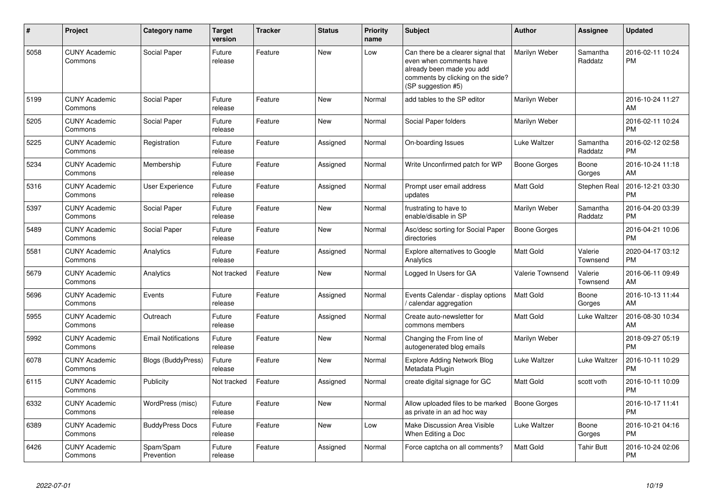| #    | Project                         | <b>Category name</b>       | <b>Target</b><br>version | <b>Tracker</b> | <b>Status</b> | <b>Priority</b><br>name | <b>Subject</b>                                                                                                                                        | <b>Author</b>           | <b>Assignee</b>     | <b>Updated</b>                |
|------|---------------------------------|----------------------------|--------------------------|----------------|---------------|-------------------------|-------------------------------------------------------------------------------------------------------------------------------------------------------|-------------------------|---------------------|-------------------------------|
| 5058 | <b>CUNY Academic</b><br>Commons | Social Paper               | Future<br>release        | Feature        | <b>New</b>    | Low                     | Can there be a clearer signal that<br>even when comments have<br>already been made you add<br>comments by clicking on the side?<br>(SP suggestion #5) | Marilyn Weber           | Samantha<br>Raddatz | 2016-02-11 10:24<br><b>PM</b> |
| 5199 | <b>CUNY Academic</b><br>Commons | Social Paper               | Future<br>release        | Feature        | <b>New</b>    | Normal                  | add tables to the SP editor                                                                                                                           | Marilyn Weber           |                     | 2016-10-24 11:27<br>AM        |
| 5205 | <b>CUNY Academic</b><br>Commons | Social Paper               | Future<br>release        | Feature        | <b>New</b>    | Normal                  | Social Paper folders                                                                                                                                  | Marilyn Weber           |                     | 2016-02-11 10:24<br><b>PM</b> |
| 5225 | <b>CUNY Academic</b><br>Commons | Registration               | Future<br>release        | Feature        | Assigned      | Normal                  | On-boarding Issues                                                                                                                                    | Luke Waltzer            | Samantha<br>Raddatz | 2016-02-12 02:58<br><b>PM</b> |
| 5234 | <b>CUNY Academic</b><br>Commons | Membership                 | Future<br>release        | Feature        | Assigned      | Normal                  | Write Unconfirmed patch for WP                                                                                                                        | Boone Gorges            | Boone<br>Gorges     | 2016-10-24 11:18<br>AM        |
| 5316 | <b>CUNY Academic</b><br>Commons | User Experience            | Future<br>release        | Feature        | Assigned      | Normal                  | Prompt user email address<br>updates                                                                                                                  | Matt Gold               | Stephen Real        | 2016-12-21 03:30<br><b>PM</b> |
| 5397 | <b>CUNY Academic</b><br>Commons | Social Paper               | Future<br>release        | Feature        | <b>New</b>    | Normal                  | frustrating to have to<br>enable/disable in SP                                                                                                        | Marilyn Weber           | Samantha<br>Raddatz | 2016-04-20 03:39<br><b>PM</b> |
| 5489 | <b>CUNY Academic</b><br>Commons | Social Paper               | Future<br>release        | Feature        | <b>New</b>    | Normal                  | Asc/desc sorting for Social Paper<br>directories                                                                                                      | <b>Boone Gorges</b>     |                     | 2016-04-21 10:06<br><b>PM</b> |
| 5581 | <b>CUNY Academic</b><br>Commons | Analytics                  | Future<br>release        | Feature        | Assigned      | Normal                  | <b>Explore alternatives to Google</b><br>Analytics                                                                                                    | <b>Matt Gold</b>        | Valerie<br>Townsend | 2020-04-17 03:12<br><b>PM</b> |
| 5679 | <b>CUNY Academic</b><br>Commons | Analytics                  | Not tracked              | Feature        | <b>New</b>    | Normal                  | Logged In Users for GA                                                                                                                                | <b>Valerie Townsend</b> | Valerie<br>Townsend | 2016-06-11 09:49<br>AM        |
| 5696 | <b>CUNY Academic</b><br>Commons | Events                     | Future<br>release        | Feature        | Assigned      | Normal                  | Events Calendar - display options<br>/ calendar aggregation                                                                                           | Matt Gold               | Boone<br>Gorges     | 2016-10-13 11:44<br>AM        |
| 5955 | <b>CUNY Academic</b><br>Commons | Outreach                   | Future<br>release        | Feature        | Assigned      | Normal                  | Create auto-newsletter for<br>commons members                                                                                                         | Matt Gold               | Luke Waltzer        | 2016-08-30 10:34<br>AM        |
| 5992 | <b>CUNY Academic</b><br>Commons | <b>Email Notifications</b> | Future<br>release        | Feature        | <b>New</b>    | Normal                  | Changing the From line of<br>autogenerated blog emails                                                                                                | Marilyn Weber           |                     | 2018-09-27 05:19<br><b>PM</b> |
| 6078 | <b>CUNY Academic</b><br>Commons | Blogs (BuddyPress)         | Future<br>release        | Feature        | New           | Normal                  | <b>Explore Adding Network Blog</b><br>Metadata Plugin                                                                                                 | Luke Waltzer            | Luke Waltzer        | 2016-10-11 10:29<br><b>PM</b> |
| 6115 | <b>CUNY Academic</b><br>Commons | Publicity                  | Not tracked              | Feature        | Assigned      | Normal                  | create digital signage for GC                                                                                                                         | <b>Matt Gold</b>        | scott voth          | 2016-10-11 10:09<br><b>PM</b> |
| 6332 | <b>CUNY Academic</b><br>Commons | WordPress (misc)           | Future<br>release        | Feature        | <b>New</b>    | Normal                  | Allow uploaded files to be marked<br>as private in an ad hoc way                                                                                      | <b>Boone Gorges</b>     |                     | 2016-10-17 11:41<br><b>PM</b> |
| 6389 | <b>CUNY Academic</b><br>Commons | <b>BuddyPress Docs</b>     | Future<br>release        | Feature        | <b>New</b>    | Low                     | Make Discussion Area Visible<br>When Editing a Doc                                                                                                    | Luke Waltzer            | Boone<br>Gorges     | 2016-10-21 04:16<br><b>PM</b> |
| 6426 | <b>CUNY Academic</b><br>Commons | Spam/Spam<br>Prevention    | Future<br>release        | Feature        | Assigned      | Normal                  | Force captcha on all comments?                                                                                                                        | Matt Gold               | <b>Tahir Butt</b>   | 2016-10-24 02:06<br><b>PM</b> |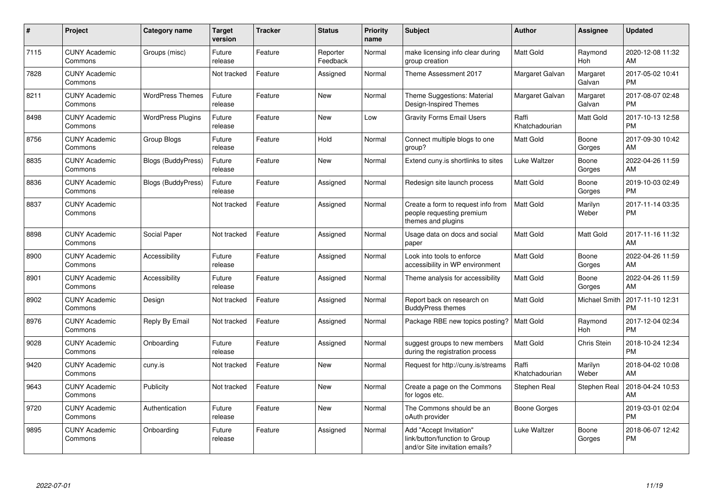| #    | Project                         | <b>Category name</b>      | <b>Target</b><br>version | <b>Tracker</b> | <b>Status</b>        | <b>Priority</b><br>name | <b>Subject</b>                                                                             | <b>Author</b>           | <b>Assignee</b>    | <b>Updated</b>                |
|------|---------------------------------|---------------------------|--------------------------|----------------|----------------------|-------------------------|--------------------------------------------------------------------------------------------|-------------------------|--------------------|-------------------------------|
| 7115 | <b>CUNY Academic</b><br>Commons | Groups (misc)             | Future<br>release        | Feature        | Reporter<br>Feedback | Normal                  | make licensing info clear during<br>group creation                                         | <b>Matt Gold</b>        | Raymond<br>Hoh     | 2020-12-08 11:32<br>AM        |
| 7828 | <b>CUNY Academic</b><br>Commons |                           | Not tracked              | Feature        | Assigned             | Normal                  | Theme Assessment 2017                                                                      | Margaret Galvan         | Margaret<br>Galvan | 2017-05-02 10:41<br><b>PM</b> |
| 8211 | <b>CUNY Academic</b><br>Commons | <b>WordPress Themes</b>   | Future<br>release        | Feature        | New                  | Normal                  | Theme Suggestions: Material<br>Design-Inspired Themes                                      | Margaret Galvan         | Margaret<br>Galvan | 2017-08-07 02:48<br><b>PM</b> |
| 8498 | <b>CUNY Academic</b><br>Commons | <b>WordPress Plugins</b>  | Future<br>release        | Feature        | New                  | Low                     | <b>Gravity Forms Email Users</b>                                                           | Raffi<br>Khatchadourian | Matt Gold          | 2017-10-13 12:58<br><b>PM</b> |
| 8756 | <b>CUNY Academic</b><br>Commons | Group Blogs               | Future<br>release        | Feature        | Hold                 | Normal                  | Connect multiple blogs to one<br>group?                                                    | Matt Gold               | Boone<br>Gorges    | 2017-09-30 10:42<br>AM        |
| 8835 | <b>CUNY Academic</b><br>Commons | <b>Blogs (BuddyPress)</b> | Future<br>release        | Feature        | New                  | Normal                  | Extend cuny.is shortlinks to sites                                                         | Luke Waltzer            | Boone<br>Gorges    | 2022-04-26 11:59<br>AM        |
| 8836 | <b>CUNY Academic</b><br>Commons | <b>Blogs (BuddyPress)</b> | Future<br>release        | Feature        | Assigned             | Normal                  | Redesign site launch process                                                               | <b>Matt Gold</b>        | Boone<br>Gorges    | 2019-10-03 02:49<br><b>PM</b> |
| 8837 | <b>CUNY Academic</b><br>Commons |                           | Not tracked              | Feature        | Assigned             | Normal                  | Create a form to request info from<br>people requesting premium<br>themes and plugins      | <b>Matt Gold</b>        | Marilyn<br>Weber   | 2017-11-14 03:35<br><b>PM</b> |
| 8898 | <b>CUNY Academic</b><br>Commons | Social Paper              | Not tracked              | Feature        | Assigned             | Normal                  | Usage data on docs and social<br>paper                                                     | Matt Gold               | Matt Gold          | 2017-11-16 11:32<br>AM        |
| 8900 | <b>CUNY Academic</b><br>Commons | Accessibility             | Future<br>release        | Feature        | Assigned             | Normal                  | Look into tools to enforce<br>accessibility in WP environment                              | <b>Matt Gold</b>        | Boone<br>Gorges    | 2022-04-26 11:59<br>AM        |
| 8901 | <b>CUNY Academic</b><br>Commons | Accessibility             | Future<br>release        | Feature        | Assigned             | Normal                  | Theme analysis for accessibility                                                           | Matt Gold               | Boone<br>Gorges    | 2022-04-26 11:59<br>AM        |
| 8902 | <b>CUNY Academic</b><br>Commons | Design                    | Not tracked              | Feature        | Assigned             | Normal                  | Report back on research on<br><b>BuddyPress themes</b>                                     | Matt Gold               | Michael Smith      | 2017-11-10 12:31<br><b>PM</b> |
| 8976 | <b>CUNY Academic</b><br>Commons | Reply By Email            | Not tracked              | Feature        | Assigned             | Normal                  | Package RBE new topics posting?                                                            | Matt Gold               | Raymond<br>Hoh     | 2017-12-04 02:34<br><b>PM</b> |
| 9028 | <b>CUNY Academic</b><br>Commons | Onboarding                | Future<br>release        | Feature        | Assigned             | Normal                  | suggest groups to new members<br>during the registration process                           | Matt Gold               | Chris Stein        | 2018-10-24 12:34<br><b>PM</b> |
| 9420 | <b>CUNY Academic</b><br>Commons | cuny.is                   | Not tracked              | Feature        | New                  | Normal                  | Request for http://cuny.is/streams                                                         | Raffi<br>Khatchadourian | Marilyn<br>Weber   | 2018-04-02 10:08<br>AM        |
| 9643 | <b>CUNY Academic</b><br>Commons | Publicity                 | Not tracked              | Feature        | New                  | Normal                  | Create a page on the Commons<br>for logos etc.                                             | Stephen Real            | Stephen Real       | 2018-04-24 10:53<br>AM        |
| 9720 | <b>CUNY Academic</b><br>Commons | Authentication            | Future<br>release        | Feature        | <b>New</b>           | Normal                  | The Commons should be an<br>oAuth provider                                                 | Boone Gorges            |                    | 2019-03-01 02:04<br><b>PM</b> |
| 9895 | <b>CUNY Academic</b><br>Commons | Onboarding                | Future<br>release        | Feature        | Assigned             | Normal                  | Add "Accept Invitation"<br>link/button/function to Group<br>and/or Site invitation emails? | Luke Waltzer            | Boone<br>Gorges    | 2018-06-07 12:42<br><b>PM</b> |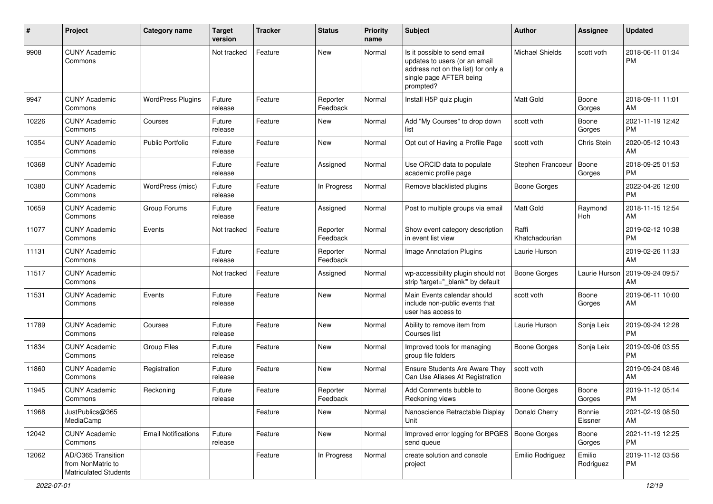| #     | Project                                                                 | Category name              | <b>Target</b><br>version | Tracker | <b>Status</b>        | <b>Priority</b><br>name | <b>Subject</b>                                                                                                                               | Author                  | Assignee            | <b>Updated</b>                |
|-------|-------------------------------------------------------------------------|----------------------------|--------------------------|---------|----------------------|-------------------------|----------------------------------------------------------------------------------------------------------------------------------------------|-------------------------|---------------------|-------------------------------|
| 9908  | <b>CUNY Academic</b><br>Commons                                         |                            | Not tracked              | Feature | <b>New</b>           | Normal                  | Is it possible to send email<br>updates to users (or an email<br>address not on the list) for only a<br>single page AFTER being<br>prompted? | <b>Michael Shields</b>  | scott voth          | 2018-06-11 01:34<br><b>PM</b> |
| 9947  | <b>CUNY Academic</b><br>Commons                                         | <b>WordPress Plugins</b>   | Future<br>release        | Feature | Reporter<br>Feedback | Normal                  | Install H5P quiz plugin                                                                                                                      | Matt Gold               | Boone<br>Gorges     | 2018-09-11 11:01<br>AM        |
| 10226 | <b>CUNY Academic</b><br>Commons                                         | Courses                    | Future<br>release        | Feature | New                  | Normal                  | Add "My Courses" to drop down<br>list                                                                                                        | scott voth              | Boone<br>Gorges     | 2021-11-19 12:42<br><b>PM</b> |
| 10354 | <b>CUNY Academic</b><br>Commons                                         | <b>Public Portfolio</b>    | Future<br>release        | Feature | <b>New</b>           | Normal                  | Opt out of Having a Profile Page                                                                                                             | scott voth              | Chris Stein         | 2020-05-12 10:43<br>AM        |
| 10368 | <b>CUNY Academic</b><br>Commons                                         |                            | Future<br>release        | Feature | Assigned             | Normal                  | Use ORCID data to populate<br>academic profile page                                                                                          | Stephen Francoeur       | Boone<br>Gorges     | 2018-09-25 01:53<br><b>PM</b> |
| 10380 | <b>CUNY Academic</b><br>Commons                                         | WordPress (misc)           | Future<br>release        | Feature | In Progress          | Normal                  | Remove blacklisted plugins                                                                                                                   | <b>Boone Gorges</b>     |                     | 2022-04-26 12:00<br><b>PM</b> |
| 10659 | <b>CUNY Academic</b><br>Commons                                         | Group Forums               | Future<br>release        | Feature | Assigned             | Normal                  | Post to multiple groups via email                                                                                                            | Matt Gold               | Raymond<br>Hoh      | 2018-11-15 12:54<br>AM        |
| 11077 | <b>CUNY Academic</b><br>Commons                                         | Events                     | Not tracked              | Feature | Reporter<br>Feedback | Normal                  | Show event category description<br>in event list view                                                                                        | Raffi<br>Khatchadourian |                     | 2019-02-12 10:38<br><b>PM</b> |
| 11131 | <b>CUNY Academic</b><br>Commons                                         |                            | Future<br>release        | Feature | Reporter<br>Feedback | Normal                  | Image Annotation Plugins                                                                                                                     | Laurie Hurson           |                     | 2019-02-26 11:33<br>AM        |
| 11517 | <b>CUNY Academic</b><br>Commons                                         |                            | Not tracked              | Feature | Assigned             | Normal                  | wp-accessibility plugin should not<br>strip 'target="_blank" by default                                                                      | <b>Boone Gorges</b>     | Laurie Hurson       | 2019-09-24 09:57<br>AM        |
| 11531 | <b>CUNY Academic</b><br>Commons                                         | Events                     | Future<br>release        | Feature | <b>New</b>           | Normal                  | Main Events calendar should<br>include non-public events that<br>user has access to                                                          | scott voth              | Boone<br>Gorges     | 2019-06-11 10:00<br>AM        |
| 11789 | <b>CUNY Academic</b><br>Commons                                         | Courses                    | Future<br>release        | Feature | <b>New</b>           | Normal                  | Ability to remove item from<br>Courses list                                                                                                  | Laurie Hurson           | Sonja Leix          | 2019-09-24 12:28<br><b>PM</b> |
| 11834 | <b>CUNY Academic</b><br>Commons                                         | <b>Group Files</b>         | Future<br>release        | Feature | <b>New</b>           | Normal                  | Improved tools for managing<br>group file folders                                                                                            | <b>Boone Gorges</b>     | Sonja Leix          | 2019-09-06 03:55<br><b>PM</b> |
| 11860 | <b>CUNY Academic</b><br>Commons                                         | Registration               | Future<br>release        | Feature | <b>New</b>           | Normal                  | <b>Ensure Students Are Aware They</b><br>Can Use Aliases At Registration                                                                     | scott voth              |                     | 2019-09-24 08:46<br>AM        |
| 11945 | <b>CUNY Academic</b><br>Commons                                         | Reckoning                  | Future<br>release        | Feature | Reporter<br>Feedback | Normal                  | Add Comments bubble to<br>Reckoning views                                                                                                    | <b>Boone Gorges</b>     | Boone<br>Gorges     | 2019-11-12 05:14<br><b>PM</b> |
| 11968 | JustPublics@365<br>MediaCamp                                            |                            |                          | Feature | New                  | Normal                  | Nanoscience Retractable Display<br>Unit                                                                                                      | Donald Cherry           | Bonnie<br>Eissner   | 2021-02-19 08:50<br>AM        |
| 12042 | <b>CUNY Academic</b><br>Commons                                         | <b>Email Notifications</b> | Future<br>release        | Feature | New                  | Normal                  | Improved error logging for BPGES   Boone Gorges<br>send queue                                                                                |                         | Boone<br>Gorges     | 2021-11-19 12:25<br><b>PM</b> |
| 12062 | AD/O365 Transition<br>from NonMatric to<br><b>Matriculated Students</b> |                            |                          | Feature | In Progress          | Normal                  | create solution and console<br>project                                                                                                       | Emilio Rodriguez        | Emilio<br>Rodriguez | 2019-11-12 03:56<br><b>PM</b> |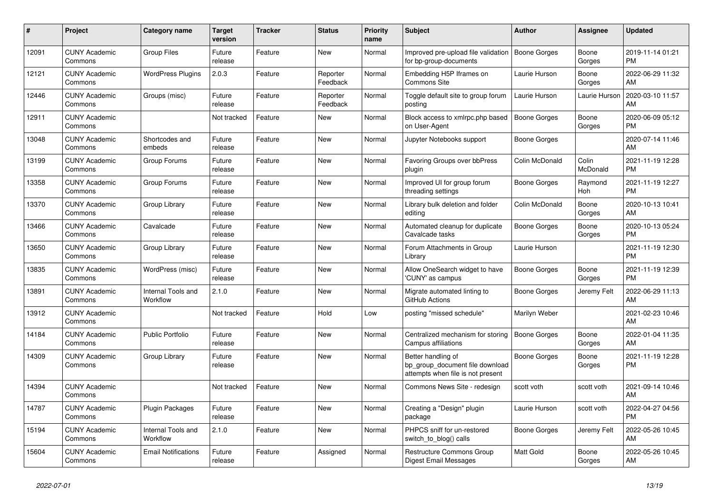| #     | <b>Project</b>                  | Category name                  | <b>Target</b><br>version | <b>Tracker</b> | <b>Status</b>        | <b>Priority</b><br>name | <b>Subject</b>                                                                             | <b>Author</b>       | Assignee          | <b>Updated</b>                |
|-------|---------------------------------|--------------------------------|--------------------------|----------------|----------------------|-------------------------|--------------------------------------------------------------------------------------------|---------------------|-------------------|-------------------------------|
| 12091 | <b>CUNY Academic</b><br>Commons | <b>Group Files</b>             | Future<br>release        | Feature        | New                  | Normal                  | Improved pre-upload file validation<br>for bp-group-documents                              | Boone Gorges        | Boone<br>Gorges   | 2019-11-14 01:21<br><b>PM</b> |
| 12121 | <b>CUNY Academic</b><br>Commons | <b>WordPress Plugins</b>       | 2.0.3                    | Feature        | Reporter<br>Feedback | Normal                  | Embedding H5P Iframes on<br>Commons Site                                                   | Laurie Hurson       | Boone<br>Gorges   | 2022-06-29 11:32<br>AM        |
| 12446 | <b>CUNY Academic</b><br>Commons | Groups (misc)                  | Future<br>release        | Feature        | Reporter<br>Feedback | Normal                  | Toggle default site to group forum<br>posting                                              | Laurie Hurson       | Laurie Hurson     | 2020-03-10 11:57<br>AM        |
| 12911 | <b>CUNY Academic</b><br>Commons |                                | Not tracked              | Feature        | New                  | Normal                  | Block access to xmlrpc.php based<br>on User-Agent                                          | Boone Gorges        | Boone<br>Gorges   | 2020-06-09 05:12<br><b>PM</b> |
| 13048 | <b>CUNY Academic</b><br>Commons | Shortcodes and<br>embeds       | Future<br>release        | Feature        | New                  | Normal                  | Jupyter Notebooks support                                                                  | Boone Gorges        |                   | 2020-07-14 11:46<br>AM        |
| 13199 | <b>CUNY Academic</b><br>Commons | Group Forums                   | Future<br>release        | Feature        | New                  | Normal                  | Favoring Groups over bbPress<br>plugin                                                     | Colin McDonald      | Colin<br>McDonald | 2021-11-19 12:28<br><b>PM</b> |
| 13358 | <b>CUNY Academic</b><br>Commons | Group Forums                   | Future<br>release        | Feature        | <b>New</b>           | Normal                  | Improved UI for group forum<br>threading settings                                          | Boone Gorges        | Raymond<br>Hoh    | 2021-11-19 12:27<br><b>PM</b> |
| 13370 | <b>CUNY Academic</b><br>Commons | Group Library                  | Future<br>release        | Feature        | <b>New</b>           | Normal                  | Library bulk deletion and folder<br>editing                                                | Colin McDonald      | Boone<br>Gorges   | 2020-10-13 10:41<br>AM        |
| 13466 | <b>CUNY Academic</b><br>Commons | Cavalcade                      | Future<br>release        | Feature        | New                  | Normal                  | Automated cleanup for duplicate<br>Cavalcade tasks                                         | Boone Gorges        | Boone<br>Gorges   | 2020-10-13 05:24<br><b>PM</b> |
| 13650 | <b>CUNY Academic</b><br>Commons | Group Library                  | Future<br>release        | Feature        | New                  | Normal                  | Forum Attachments in Group<br>Library                                                      | Laurie Hurson       |                   | 2021-11-19 12:30<br><b>PM</b> |
| 13835 | <b>CUNY Academic</b><br>Commons | WordPress (misc)               | Future<br>release        | Feature        | <b>New</b>           | Normal                  | Allow OneSearch widget to have<br>'CUNY' as campus                                         | <b>Boone Gorges</b> | Boone<br>Gorges   | 2021-11-19 12:39<br><b>PM</b> |
| 13891 | <b>CUNY Academic</b><br>Commons | Internal Tools and<br>Workflow | 2.1.0                    | Feature        | New                  | Normal                  | Migrate automated linting to<br>GitHub Actions                                             | Boone Gorges        | Jeremy Felt       | 2022-06-29 11:13<br>AM        |
| 13912 | <b>CUNY Academic</b><br>Commons |                                | Not tracked              | Feature        | Hold                 | Low                     | posting "missed schedule"                                                                  | Marilyn Weber       |                   | 2021-02-23 10:46<br>AM        |
| 14184 | <b>CUNY Academic</b><br>Commons | Public Portfolio               | Future<br>release        | Feature        | <b>New</b>           | Normal                  | Centralized mechanism for storing<br>Campus affiliations                                   | Boone Gorges        | Boone<br>Gorges   | 2022-01-04 11:35<br>AM        |
| 14309 | <b>CUNY Academic</b><br>Commons | Group Library                  | Future<br>release        | Feature        | <b>New</b>           | Normal                  | Better handling of<br>bp group document file download<br>attempts when file is not present | Boone Gorges        | Boone<br>Gorges   | 2021-11-19 12:28<br><b>PM</b> |
| 14394 | <b>CUNY Academic</b><br>Commons |                                | Not tracked              | Feature        | <b>New</b>           | Normal                  | Commons News Site - redesign                                                               | scott voth          | scott voth        | 2021-09-14 10:46<br>AM        |
| 14787 | <b>CUNY Academic</b><br>Commons | Plugin Packages                | Future<br>release        | Feature        | <b>New</b>           | Normal                  | Creating a "Design" plugin<br>package                                                      | Laurie Hurson       | scott voth        | 2022-04-27 04:56<br><b>PM</b> |
| 15194 | <b>CUNY Academic</b><br>Commons | Internal Tools and<br>Workflow | 2.1.0                    | Feature        | New                  | Normal                  | PHPCS sniff for un-restored<br>switch_to_blog() calls                                      | Boone Gorges        | Jeremy Felt       | 2022-05-26 10:45<br>AM        |
| 15604 | <b>CUNY Academic</b><br>Commons | <b>Email Notifications</b>     | Future<br>release        | Feature        | Assigned             | Normal                  | Restructure Commons Group<br>Digest Email Messages                                         | <b>Matt Gold</b>    | Boone<br>Gorges   | 2022-05-26 10:45<br>AM        |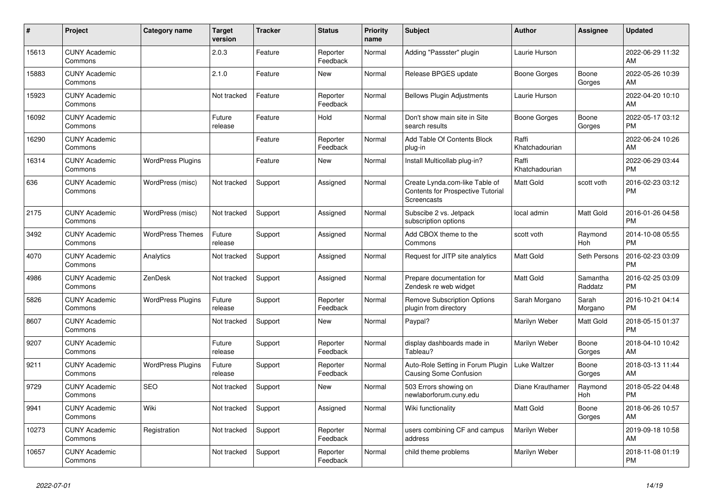| #     | Project                         | <b>Category name</b>     | <b>Target</b><br>version | <b>Tracker</b> | <b>Status</b>        | <b>Priority</b><br>name | <b>Subject</b>                                                                            | <b>Author</b>           | <b>Assignee</b>     | <b>Updated</b>                |
|-------|---------------------------------|--------------------------|--------------------------|----------------|----------------------|-------------------------|-------------------------------------------------------------------------------------------|-------------------------|---------------------|-------------------------------|
| 15613 | <b>CUNY Academic</b><br>Commons |                          | 2.0.3                    | Feature        | Reporter<br>Feedback | Normal                  | Adding "Passster" plugin                                                                  | Laurie Hurson           |                     | 2022-06-29 11:32<br>AM        |
| 15883 | <b>CUNY Academic</b><br>Commons |                          | 2.1.0                    | Feature        | <b>New</b>           | Normal                  | Release BPGES update                                                                      | Boone Gorges            | Boone<br>Gorges     | 2022-05-26 10:39<br>AM        |
| 15923 | <b>CUNY Academic</b><br>Commons |                          | Not tracked              | Feature        | Reporter<br>Feedback | Normal                  | <b>Bellows Plugin Adjustments</b>                                                         | Laurie Hurson           |                     | 2022-04-20 10:10<br>AM        |
| 16092 | <b>CUNY Academic</b><br>Commons |                          | Future<br>release        | Feature        | Hold                 | Normal                  | Don't show main site in Site<br>search results                                            | <b>Boone Gorges</b>     | Boone<br>Gorges     | 2022-05-17 03:12<br><b>PM</b> |
| 16290 | <b>CUNY Academic</b><br>Commons |                          |                          | Feature        | Reporter<br>Feedback | Normal                  | Add Table Of Contents Block<br>plug-in                                                    | Raffi<br>Khatchadourian |                     | 2022-06-24 10:26<br>AM        |
| 16314 | <b>CUNY Academic</b><br>Commons | <b>WordPress Plugins</b> |                          | Feature        | <b>New</b>           | Normal                  | Install Multicollab plug-in?                                                              | Raffi<br>Khatchadourian |                     | 2022-06-29 03:44<br><b>PM</b> |
| 636   | <b>CUNY Academic</b><br>Commons | WordPress (misc)         | Not tracked              | Support        | Assigned             | Normal                  | Create Lynda.com-like Table of<br><b>Contents for Prospective Tutorial</b><br>Screencasts | <b>Matt Gold</b>        | scott voth          | 2016-02-23 03:12<br><b>PM</b> |
| 2175  | <b>CUNY Academic</b><br>Commons | WordPress (misc)         | Not tracked              | Support        | Assigned             | Normal                  | Subscibe 2 vs. Jetpack<br>subscription options                                            | local admin             | Matt Gold           | 2016-01-26 04:58<br><b>PM</b> |
| 3492  | <b>CUNY Academic</b><br>Commons | <b>WordPress Themes</b>  | Future<br>release        | Support        | Assigned             | Normal                  | Add CBOX theme to the<br>Commons                                                          | scott voth              | Raymond<br>Hoh      | 2014-10-08 05:55<br><b>PM</b> |
| 4070  | <b>CUNY Academic</b><br>Commons | Analytics                | Not tracked              | Support        | Assigned             | Normal                  | Request for JITP site analytics                                                           | <b>Matt Gold</b>        | Seth Persons        | 2016-02-23 03:09<br><b>PM</b> |
| 4986  | <b>CUNY Academic</b><br>Commons | ZenDesk                  | Not tracked              | Support        | Assigned             | Normal                  | Prepare documentation for<br>Zendesk re web widget                                        | <b>Matt Gold</b>        | Samantha<br>Raddatz | 2016-02-25 03:09<br><b>PM</b> |
| 5826  | <b>CUNY Academic</b><br>Commons | <b>WordPress Plugins</b> | Future<br>release        | Support        | Reporter<br>Feedback | Normal                  | <b>Remove Subscription Options</b><br>plugin from directory                               | Sarah Morgano           | Sarah<br>Morgano    | 2016-10-21 04:14<br><b>PM</b> |
| 8607  | <b>CUNY Academic</b><br>Commons |                          | Not tracked              | Support        | <b>New</b>           | Normal                  | Paypal?                                                                                   | Marilyn Weber           | Matt Gold           | 2018-05-15 01:37<br><b>PM</b> |
| 9207  | <b>CUNY Academic</b><br>Commons |                          | Future<br>release        | Support        | Reporter<br>Feedback | Normal                  | display dashboards made in<br>Tableau?                                                    | Marilyn Weber           | Boone<br>Gorges     | 2018-04-10 10:42<br>AM        |
| 9211  | <b>CUNY Academic</b><br>Commons | <b>WordPress Plugins</b> | Future<br>release        | Support        | Reporter<br>Feedback | Normal                  | Auto-Role Setting in Forum Plugin   Luke Waltzer<br><b>Causing Some Confusion</b>         |                         | Boone<br>Gorges     | 2018-03-13 11:44<br>AM        |
| 9729  | <b>CUNY Academic</b><br>Commons | <b>SEO</b>               | Not tracked              | Support        | <b>New</b>           | Normal                  | 503 Errors showing on<br>newlaborforum.cuny.edu                                           | Diane Krauthamer        | Raymond<br>Hoh      | 2018-05-22 04:48<br><b>PM</b> |
| 9941  | <b>CUNY Academic</b><br>Commons | Wiki                     | Not tracked              | Support        | Assigned             | Normal                  | Wiki functionality                                                                        | <b>Matt Gold</b>        | Boone<br>Gorges     | 2018-06-26 10:57<br>AM        |
| 10273 | <b>CUNY Academic</b><br>Commons | Registration             | Not tracked              | Support        | Reporter<br>Feedback | Normal                  | users combining CF and campus<br>address                                                  | Marilyn Weber           |                     | 2019-09-18 10:58<br>AM        |
| 10657 | <b>CUNY Academic</b><br>Commons |                          | Not tracked              | Support        | Reporter<br>Feedback | Normal                  | child theme problems                                                                      | Marilyn Weber           |                     | 2018-11-08 01:19<br><b>PM</b> |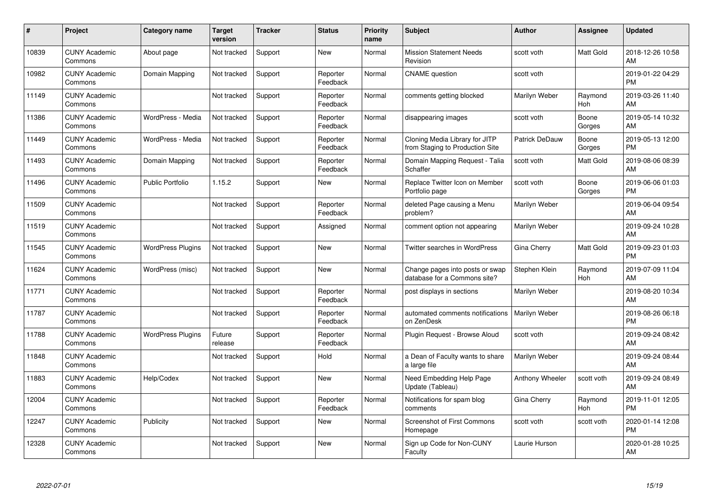| #     | Project                         | <b>Category name</b>     | <b>Target</b><br>version | <b>Tracker</b> | <b>Status</b>        | <b>Priority</b><br>name | <b>Subject</b>                                                    | <b>Author</b>   | <b>Assignee</b> | <b>Updated</b>                |
|-------|---------------------------------|--------------------------|--------------------------|----------------|----------------------|-------------------------|-------------------------------------------------------------------|-----------------|-----------------|-------------------------------|
| 10839 | <b>CUNY Academic</b><br>Commons | About page               | Not tracked              | Support        | <b>New</b>           | Normal                  | <b>Mission Statement Needs</b><br>Revision                        | scott voth      | Matt Gold       | 2018-12-26 10:58<br>AM        |
| 10982 | <b>CUNY Academic</b><br>Commons | Domain Mapping           | Not tracked              | Support        | Reporter<br>Feedback | Normal                  | <b>CNAME</b> question                                             | scott voth      |                 | 2019-01-22 04:29<br><b>PM</b> |
| 11149 | <b>CUNY Academic</b><br>Commons |                          | Not tracked              | Support        | Reporter<br>Feedback | Normal                  | comments getting blocked                                          | Marilyn Weber   | Raymond<br>Hoh  | 2019-03-26 11:40<br>AM        |
| 11386 | <b>CUNY Academic</b><br>Commons | WordPress - Media        | Not tracked              | Support        | Reporter<br>Feedback | Normal                  | disappearing images                                               | scott voth      | Boone<br>Gorges | 2019-05-14 10:32<br>AM        |
| 11449 | <b>CUNY Academic</b><br>Commons | WordPress - Media        | Not tracked              | Support        | Reporter<br>Feedback | Normal                  | Cloning Media Library for JITP<br>from Staging to Production Site | Patrick DeDauw  | Boone<br>Gorges | 2019-05-13 12:00<br><b>PM</b> |
| 11493 | <b>CUNY Academic</b><br>Commons | Domain Mapping           | Not tracked              | Support        | Reporter<br>Feedback | Normal                  | Domain Mapping Request - Talia<br>Schaffer                        | scott voth      | Matt Gold       | 2019-08-06 08:39<br>AM        |
| 11496 | <b>CUNY Academic</b><br>Commons | <b>Public Portfolio</b>  | 1.15.2                   | Support        | <b>New</b>           | Normal                  | Replace Twitter Icon on Member<br>Portfolio page                  | scott voth      | Boone<br>Gorges | 2019-06-06 01:03<br><b>PM</b> |
| 11509 | <b>CUNY Academic</b><br>Commons |                          | Not tracked              | Support        | Reporter<br>Feedback | Normal                  | deleted Page causing a Menu<br>problem?                           | Marilyn Weber   |                 | 2019-06-04 09:54<br>AM        |
| 11519 | <b>CUNY Academic</b><br>Commons |                          | Not tracked              | Support        | Assigned             | Normal                  | comment option not appearing                                      | Marilyn Weber   |                 | 2019-09-24 10:28<br>AM        |
| 11545 | <b>CUNY Academic</b><br>Commons | <b>WordPress Plugins</b> | Not tracked              | Support        | <b>New</b>           | Normal                  | <b>Twitter searches in WordPress</b>                              | Gina Cherry     | Matt Gold       | 2019-09-23 01:03<br><b>PM</b> |
| 11624 | <b>CUNY Academic</b><br>Commons | WordPress (misc)         | Not tracked              | Support        | New                  | Normal                  | Change pages into posts or swap<br>database for a Commons site?   | Stephen Klein   | Raymond<br>Hoh  | 2019-07-09 11:04<br>AM        |
| 11771 | <b>CUNY Academic</b><br>Commons |                          | Not tracked              | Support        | Reporter<br>Feedback | Normal                  | post displays in sections                                         | Marilyn Weber   |                 | 2019-08-20 10:34<br>AM        |
| 11787 | <b>CUNY Academic</b><br>Commons |                          | Not tracked              | Support        | Reporter<br>Feedback | Normal                  | automated comments notifications<br>on ZenDesk                    | Marilyn Weber   |                 | 2019-08-26 06:18<br><b>PM</b> |
| 11788 | <b>CUNY Academic</b><br>Commons | <b>WordPress Plugins</b> | Future<br>release        | Support        | Reporter<br>Feedback | Normal                  | Plugin Request - Browse Aloud                                     | scott voth      |                 | 2019-09-24 08:42<br>AM        |
| 11848 | <b>CUNY Academic</b><br>Commons |                          | Not tracked              | Support        | Hold                 | Normal                  | a Dean of Faculty wants to share<br>a large file                  | Marilyn Weber   |                 | 2019-09-24 08:44<br>AM        |
| 11883 | <b>CUNY Academic</b><br>Commons | Help/Codex               | Not tracked              | Support        | <b>New</b>           | Normal                  | Need Embedding Help Page<br>Update (Tableau)                      | Anthony Wheeler | scott voth      | 2019-09-24 08:49<br>AM        |
| 12004 | <b>CUNY Academic</b><br>Commons |                          | Not tracked              | Support        | Reporter<br>Feedback | Normal                  | Notifications for spam blog<br>comments                           | Gina Cherry     | Raymond<br>Hoh  | 2019-11-01 12:05<br><b>PM</b> |
| 12247 | <b>CUNY Academic</b><br>Commons | Publicity                | Not tracked              | Support        | New                  | Normal                  | Screenshot of First Commons<br>Homepage                           | scott voth      | scott voth      | 2020-01-14 12:08<br><b>PM</b> |
| 12328 | <b>CUNY Academic</b><br>Commons |                          | Not tracked              | Support        | <b>New</b>           | Normal                  | Sign up Code for Non-CUNY<br>Faculty                              | Laurie Hurson   |                 | 2020-01-28 10:25<br>AM        |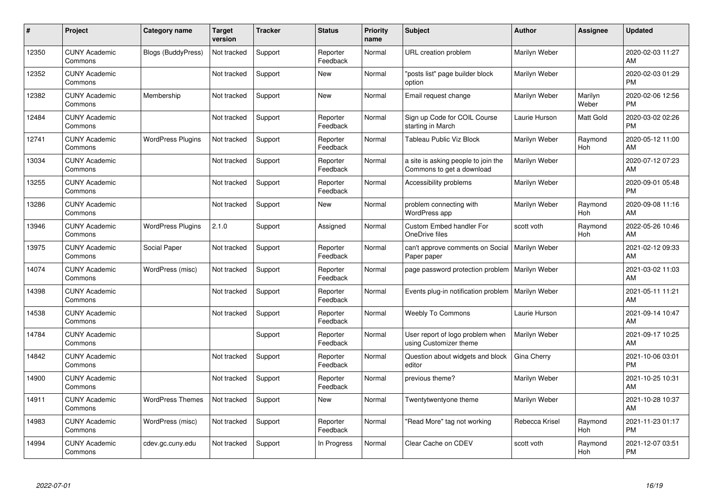| #     | Project                         | <b>Category name</b>      | <b>Target</b><br>version | <b>Tracker</b> | <b>Status</b>        | <b>Priority</b><br>name | <b>Subject</b>                                                   | <b>Author</b>  | <b>Assignee</b>  | <b>Updated</b>                |
|-------|---------------------------------|---------------------------|--------------------------|----------------|----------------------|-------------------------|------------------------------------------------------------------|----------------|------------------|-------------------------------|
| 12350 | <b>CUNY Academic</b><br>Commons | <b>Blogs (BuddyPress)</b> | Not tracked              | Support        | Reporter<br>Feedback | Normal                  | URL creation problem                                             | Marilyn Weber  |                  | 2020-02-03 11:27<br>AM        |
| 12352 | <b>CUNY Academic</b><br>Commons |                           | Not tracked              | Support        | <b>New</b>           | Normal                  | "posts list" page builder block<br>option                        | Marilyn Weber  |                  | 2020-02-03 01:29<br><b>PM</b> |
| 12382 | <b>CUNY Academic</b><br>Commons | Membership                | Not tracked              | Support        | <b>New</b>           | Normal                  | Email request change                                             | Marilyn Weber  | Marilyn<br>Weber | 2020-02-06 12:56<br><b>PM</b> |
| 12484 | <b>CUNY Academic</b><br>Commons |                           | Not tracked              | Support        | Reporter<br>Feedback | Normal                  | Sign up Code for COIL Course<br>starting in March                | Laurie Hurson  | Matt Gold        | 2020-03-02 02:26<br><b>PM</b> |
| 12741 | <b>CUNY Academic</b><br>Commons | <b>WordPress Plugins</b>  | Not tracked              | Support        | Reporter<br>Feedback | Normal                  | <b>Tableau Public Viz Block</b>                                  | Marilyn Weber  | Raymond<br>Hoh   | 2020-05-12 11:00<br>AM        |
| 13034 | <b>CUNY Academic</b><br>Commons |                           | Not tracked              | Support        | Reporter<br>Feedback | Normal                  | a site is asking people to join the<br>Commons to get a download | Marilyn Weber  |                  | 2020-07-12 07:23<br>AM        |
| 13255 | <b>CUNY Academic</b><br>Commons |                           | Not tracked              | Support        | Reporter<br>Feedback | Normal                  | Accessibility problems                                           | Marilyn Weber  |                  | 2020-09-01 05:48<br><b>PM</b> |
| 13286 | <b>CUNY Academic</b><br>Commons |                           | Not tracked              | Support        | <b>New</b>           | Normal                  | problem connecting with<br>WordPress app                         | Marilyn Weber  | Raymond<br>Hoh   | 2020-09-08 11:16<br>AM        |
| 13946 | <b>CUNY Academic</b><br>Commons | <b>WordPress Plugins</b>  | 2.1.0                    | Support        | Assigned             | Normal                  | Custom Embed handler For<br>OneDrive files                       | scott voth     | Raymond<br>Hoh   | 2022-05-26 10:46<br>AM        |
| 13975 | <b>CUNY Academic</b><br>Commons | Social Paper              | Not tracked              | Support        | Reporter<br>Feedback | Normal                  | can't approve comments on Social<br>Paper paper                  | Marilyn Weber  |                  | 2021-02-12 09:33<br>AM        |
| 14074 | <b>CUNY Academic</b><br>Commons | WordPress (misc)          | Not tracked              | Support        | Reporter<br>Feedback | Normal                  | page password protection problem                                 | Marilyn Weber  |                  | 2021-03-02 11:03<br>AM        |
| 14398 | <b>CUNY Academic</b><br>Commons |                           | Not tracked              | Support        | Reporter<br>Feedback | Normal                  | Events plug-in notification problem                              | Marilyn Weber  |                  | 2021-05-11 11:21<br>AM        |
| 14538 | <b>CUNY Academic</b><br>Commons |                           | Not tracked              | Support        | Reporter<br>Feedback | Normal                  | <b>Weebly To Commons</b>                                         | Laurie Hurson  |                  | 2021-09-14 10:47<br>AM        |
| 14784 | <b>CUNY Academic</b><br>Commons |                           |                          | Support        | Reporter<br>Feedback | Normal                  | User report of logo problem when<br>using Customizer theme       | Marilyn Weber  |                  | 2021-09-17 10:25<br>AM        |
| 14842 | <b>CUNY Academic</b><br>Commons |                           | Not tracked              | Support        | Reporter<br>Feedback | Normal                  | Question about widgets and block<br>editor                       | Gina Cherry    |                  | 2021-10-06 03:01<br><b>PM</b> |
| 14900 | <b>CUNY Academic</b><br>Commons |                           | Not tracked              | Support        | Reporter<br>Feedback | Normal                  | previous theme?                                                  | Marilyn Weber  |                  | 2021-10-25 10:31<br>AM        |
| 14911 | <b>CUNY Academic</b><br>Commons | <b>WordPress Themes</b>   | Not tracked              | Support        | New                  | Normal                  | Twentytwentyone theme                                            | Marilyn Weber  |                  | 2021-10-28 10:37<br>AM        |
| 14983 | <b>CUNY Academic</b><br>Commons | WordPress (misc)          | Not tracked              | Support        | Reporter<br>Feedback | Normal                  | "Read More" tag not working                                      | Rebecca Krisel | Raymond<br>Hoh   | 2021-11-23 01:17<br><b>PM</b> |
| 14994 | <b>CUNY Academic</b><br>Commons | cdev.gc.cuny.edu          | Not tracked              | Support        | In Progress          | Normal                  | Clear Cache on CDEV                                              | scott voth     | Raymond<br>Hoh   | 2021-12-07 03:51<br><b>PM</b> |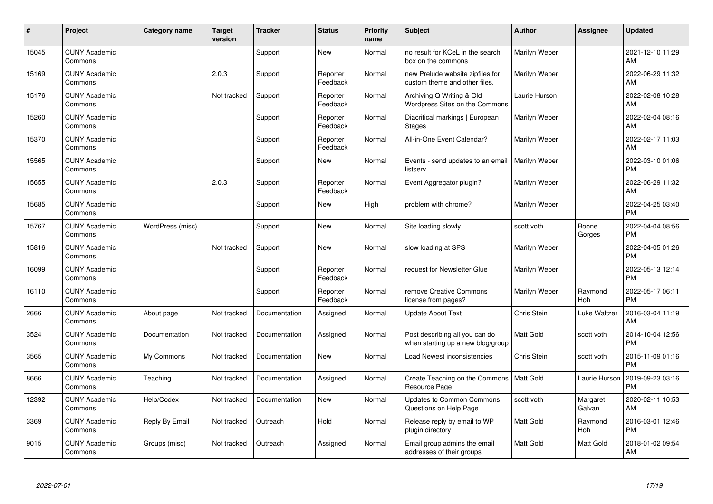| #     | Project                         | <b>Category name</b> | <b>Target</b><br>version | <b>Tracker</b> | <b>Status</b>        | <b>Priority</b><br>name | <b>Subject</b>                                                      | <b>Author</b>    | <b>Assignee</b>    | <b>Updated</b>                |
|-------|---------------------------------|----------------------|--------------------------|----------------|----------------------|-------------------------|---------------------------------------------------------------------|------------------|--------------------|-------------------------------|
| 15045 | <b>CUNY Academic</b><br>Commons |                      |                          | Support        | <b>New</b>           | Normal                  | no result for KCeL in the search<br>box on the commons              | Marilyn Weber    |                    | 2021-12-10 11:29<br>AM        |
| 15169 | <b>CUNY Academic</b><br>Commons |                      | 2.0.3                    | Support        | Reporter<br>Feedback | Normal                  | new Prelude website zipfiles for<br>custom theme and other files.   | Marilyn Weber    |                    | 2022-06-29 11:32<br>AM        |
| 15176 | <b>CUNY Academic</b><br>Commons |                      | Not tracked              | Support        | Reporter<br>Feedback | Normal                  | Archiving Q Writing & Old<br>Wordpress Sites on the Commons         | Laurie Hurson    |                    | 2022-02-08 10:28<br>AM        |
| 15260 | <b>CUNY Academic</b><br>Commons |                      |                          | Support        | Reporter<br>Feedback | Normal                  | Diacritical markings   European<br><b>Stages</b>                    | Marilyn Weber    |                    | 2022-02-04 08:16<br>AM        |
| 15370 | <b>CUNY Academic</b><br>Commons |                      |                          | Support        | Reporter<br>Feedback | Normal                  | All-in-One Event Calendar?                                          | Marilyn Weber    |                    | 2022-02-17 11:03<br>AM        |
| 15565 | <b>CUNY Academic</b><br>Commons |                      |                          | Support        | <b>New</b>           | Normal                  | Events - send updates to an email<br>listserv                       | Marilyn Weber    |                    | 2022-03-10 01:06<br><b>PM</b> |
| 15655 | <b>CUNY Academic</b><br>Commons |                      | 2.0.3                    | Support        | Reporter<br>Feedback | Normal                  | Event Aggregator plugin?                                            | Marilyn Weber    |                    | 2022-06-29 11:32<br>AM        |
| 15685 | <b>CUNY Academic</b><br>Commons |                      |                          | Support        | <b>New</b>           | High                    | problem with chrome?                                                | Marilyn Weber    |                    | 2022-04-25 03:40<br><b>PM</b> |
| 15767 | <b>CUNY Academic</b><br>Commons | WordPress (misc)     |                          | Support        | <b>New</b>           | Normal                  | Site loading slowly                                                 | scott voth       | Boone<br>Gorges    | 2022-04-04 08:56<br><b>PM</b> |
| 15816 | <b>CUNY Academic</b><br>Commons |                      | Not tracked              | Support        | <b>New</b>           | Normal                  | slow loading at SPS                                                 | Marilyn Weber    |                    | 2022-04-05 01:26<br><b>PM</b> |
| 16099 | <b>CUNY Academic</b><br>Commons |                      |                          | Support        | Reporter<br>Feedback | Normal                  | request for Newsletter Glue                                         | Marilyn Weber    |                    | 2022-05-13 12:14<br><b>PM</b> |
| 16110 | <b>CUNY Academic</b><br>Commons |                      |                          | Support        | Reporter<br>Feedback | Normal                  | remove Creative Commons<br>license from pages?                      | Marilyn Weber    | Raymond<br>Hoh     | 2022-05-17 06:11<br><b>PM</b> |
| 2666  | <b>CUNY Academic</b><br>Commons | About page           | Not tracked              | Documentation  | Assigned             | Normal                  | <b>Update About Text</b>                                            | Chris Stein      | Luke Waltzer       | 2016-03-04 11:19<br>AM        |
| 3524  | <b>CUNY Academic</b><br>Commons | Documentation        | Not tracked              | Documentation  | Assigned             | Normal                  | Post describing all you can do<br>when starting up a new blog/group | <b>Matt Gold</b> | scott voth         | 2014-10-04 12:56<br><b>PM</b> |
| 3565  | <b>CUNY Academic</b><br>Commons | My Commons           | Not tracked              | Documentation  | <b>New</b>           | Normal                  | Load Newest inconsistencies                                         | Chris Stein      | scott voth         | 2015-11-09 01:16<br><b>PM</b> |
| 8666  | <b>CUNY Academic</b><br>Commons | Teaching             | Not tracked              | Documentation  | Assigned             | Normal                  | Create Teaching on the Commons<br>Resource Page                     | Matt Gold        | Laurie Hurson      | 2019-09-23 03:16<br><b>PM</b> |
| 12392 | <b>CUNY Academic</b><br>Commons | Help/Codex           | Not tracked              | Documentation  | <b>New</b>           | Normal                  | <b>Updates to Common Commons</b><br>Questions on Help Page          | scott voth       | Margaret<br>Galvan | 2020-02-11 10:53<br>AM        |
| 3369  | <b>CUNY Academic</b><br>Commons | Reply By Email       | Not tracked              | Outreach       | Hold                 | Normal                  | Release reply by email to WP<br>plugin directory                    | <b>Matt Gold</b> | Raymond<br>Hoh     | 2016-03-01 12:46<br><b>PM</b> |
| 9015  | <b>CUNY Academic</b><br>Commons | Groups (misc)        | Not tracked              | Outreach       | Assigned             | Normal                  | Email group admins the email<br>addresses of their groups           | Matt Gold        | Matt Gold          | 2018-01-02 09:54<br>AM        |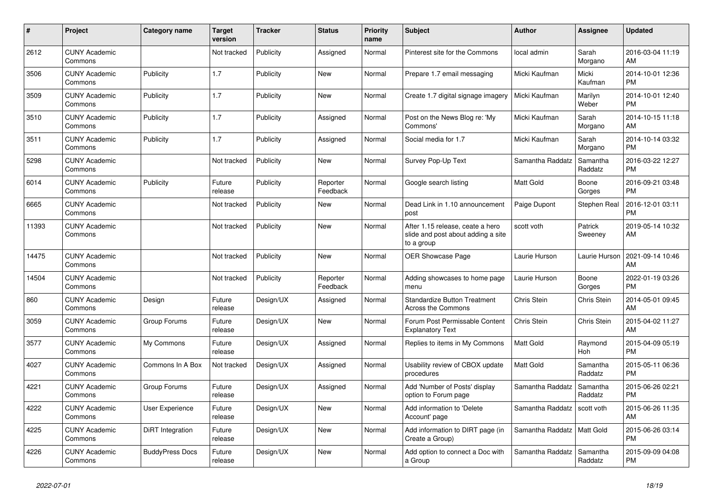| #     | Project                         | <b>Category name</b>   | <b>Target</b><br>version | <b>Tracker</b> | <b>Status</b>        | <b>Priority</b><br>name | <b>Subject</b>                                                                       | <b>Author</b>    | <b>Assignee</b>     | <b>Updated</b>                |
|-------|---------------------------------|------------------------|--------------------------|----------------|----------------------|-------------------------|--------------------------------------------------------------------------------------|------------------|---------------------|-------------------------------|
| 2612  | <b>CUNY Academic</b><br>Commons |                        | Not tracked              | Publicity      | Assigned             | Normal                  | Pinterest site for the Commons                                                       | local admin      | Sarah<br>Morgano    | 2016-03-04 11:19<br>AM        |
| 3506  | <b>CUNY Academic</b><br>Commons | Publicity              | 1.7                      | Publicity      | New                  | Normal                  | Prepare 1.7 email messaging                                                          | Micki Kaufman    | Micki<br>Kaufman    | 2014-10-01 12:36<br><b>PM</b> |
| 3509  | <b>CUNY Academic</b><br>Commons | Publicity              | 1.7                      | Publicity      | New                  | Normal                  | Create 1.7 digital signage imagery                                                   | Micki Kaufman    | Marilyn<br>Weber    | 2014-10-01 12:40<br><b>PM</b> |
| 3510  | <b>CUNY Academic</b><br>Commons | Publicity              | 1.7                      | Publicity      | Assigned             | Normal                  | Post on the News Blog re: 'My<br>Commons'                                            | Micki Kaufman    | Sarah<br>Morgano    | 2014-10-15 11:18<br>AM        |
| 3511  | <b>CUNY Academic</b><br>Commons | Publicity              | 1.7                      | Publicity      | Assigned             | Normal                  | Social media for 1.7                                                                 | Micki Kaufman    | Sarah<br>Morgano    | 2014-10-14 03:32<br><b>PM</b> |
| 5298  | <b>CUNY Academic</b><br>Commons |                        | Not tracked              | Publicity      | New                  | Normal                  | Survey Pop-Up Text                                                                   | Samantha Raddatz | Samantha<br>Raddatz | 2016-03-22 12:27<br><b>PM</b> |
| 6014  | <b>CUNY Academic</b><br>Commons | Publicity              | Future<br>release        | Publicity      | Reporter<br>Feedback | Normal                  | Google search listing                                                                | <b>Matt Gold</b> | Boone<br>Gorges     | 2016-09-21 03:48<br><b>PM</b> |
| 6665  | <b>CUNY Academic</b><br>Commons |                        | Not tracked              | Publicity      | New                  | Normal                  | Dead Link in 1.10 announcement<br>post                                               | Paige Dupont     | Stephen Real        | 2016-12-01 03:11<br><b>PM</b> |
| 11393 | <b>CUNY Academic</b><br>Commons |                        | Not tracked              | Publicity      | <b>New</b>           | Normal                  | After 1.15 release, ceate a hero<br>slide and post about adding a site<br>to a group | scott voth       | Patrick<br>Sweeney  | 2019-05-14 10:32<br>AM        |
| 14475 | <b>CUNY Academic</b><br>Commons |                        | Not tracked              | Publicity      | <b>New</b>           | Normal                  | OER Showcase Page                                                                    | Laurie Hurson    | Laurie Hurson       | 2021-09-14 10:46<br>AM        |
| 14504 | <b>CUNY Academic</b><br>Commons |                        | Not tracked              | Publicity      | Reporter<br>Feedback | Normal                  | Adding showcases to home page<br>menu                                                | Laurie Hurson    | Boone<br>Gorges     | 2022-01-19 03:26<br><b>PM</b> |
| 860   | <b>CUNY Academic</b><br>Commons | Design                 | Future<br>release        | Design/UX      | Assigned             | Normal                  | <b>Standardize Button Treatment</b><br><b>Across the Commons</b>                     | Chris Stein      | Chris Stein         | 2014-05-01 09:45<br>AM        |
| 3059  | <b>CUNY Academic</b><br>Commons | Group Forums           | Future<br>release        | Design/UX      | <b>New</b>           | Normal                  | Forum Post Permissable Content<br><b>Explanatory Text</b>                            | Chris Stein      | Chris Stein         | 2015-04-02 11:27<br>AM        |
| 3577  | <b>CUNY Academic</b><br>Commons | My Commons             | Future<br>release        | Design/UX      | Assigned             | Normal                  | Replies to items in My Commons                                                       | <b>Matt Gold</b> | Raymond<br>Hoh      | 2015-04-09 05:19<br><b>PM</b> |
| 4027  | <b>CUNY Academic</b><br>Commons | Commons In A Box       | Not tracked              | Design/UX      | Assigned             | Normal                  | Usability review of CBOX update<br>procedures                                        | <b>Matt Gold</b> | Samantha<br>Raddatz | 2015-05-11 06:36<br><b>PM</b> |
| 4221  | <b>CUNY Academic</b><br>Commons | Group Forums           | Future<br>release        | Design/UX      | Assigned             | Normal                  | Add 'Number of Posts' display<br>option to Forum page                                | Samantha Raddatz | Samantha<br>Raddatz | 2015-06-26 02:21<br><b>PM</b> |
| 4222  | <b>CUNY Academic</b><br>Commons | <b>User Experience</b> | Future<br>release        | Design/UX      | <b>New</b>           | Normal                  | Add information to 'Delete<br>Account' page                                          | Samantha Raddatz | scott voth          | 2015-06-26 11:35<br>AM        |
| 4225  | <b>CUNY Academic</b><br>Commons | DiRT Integration       | Future<br>release        | Design/UX      | New                  | Normal                  | Add information to DIRT page (in<br>Create a Group)                                  | Samantha Raddatz | Matt Gold           | 2015-06-26 03:14<br><b>PM</b> |
| 4226  | <b>CUNY Academic</b><br>Commons | <b>BuddyPress Docs</b> | Future<br>release        | Design/UX      | <b>New</b>           | Normal                  | Add option to connect a Doc with<br>a Group                                          | Samantha Raddatz | Samantha<br>Raddatz | 2015-09-09 04:08<br><b>PM</b> |